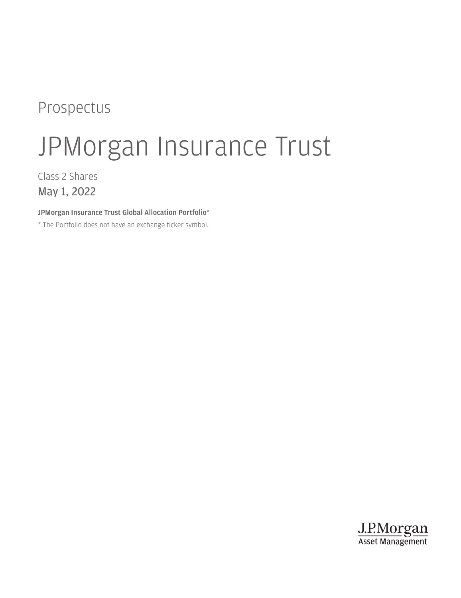# Prospectus

# JPMorgan Insurance Trust

Class 2 Shares May 1, 2022

JPMorgan Insurance Trust Global Allocation Portfolio\*

\* The Portfolio does not have an exchange ticker symbol.

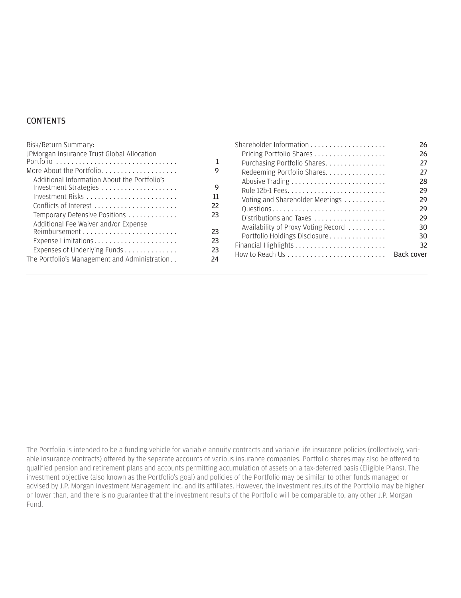#### **CONTENTS**

| Risk/Return Summary:<br>JPMorgan Insurance Trust Global Allocation<br>Portfolio<br>More About the Portfolio<br>9<br>Additional Information About the Portfolio's<br>9<br>Investment Strategies<br>Investment Risks<br>11<br>22<br>Temporary Defensive Positions<br>23<br>Additional Fee Waiver and/or Expense<br>23<br>23<br>Expense Limitations<br>Expenses of Underlying Funds<br>23<br>The Portfolio's Management and Administration<br>24 | Pricing Portfolio Shares<br>Purchasing Portfolio Shares<br>Redeeming Portfolio Shares<br>Voting and Shareholder Meetings<br>Questions<br>Distributions and Taxes<br>Availability of Proxy Voting Record<br>Portfolio Holdings Disclosure | 26<br>26<br>27<br>27<br>28<br>29<br>29<br>29<br>29<br>30<br>30<br>32<br>Back cover |
|-----------------------------------------------------------------------------------------------------------------------------------------------------------------------------------------------------------------------------------------------------------------------------------------------------------------------------------------------------------------------------------------------------------------------------------------------|------------------------------------------------------------------------------------------------------------------------------------------------------------------------------------------------------------------------------------------|------------------------------------------------------------------------------------|
|-----------------------------------------------------------------------------------------------------------------------------------------------------------------------------------------------------------------------------------------------------------------------------------------------------------------------------------------------------------------------------------------------------------------------------------------------|------------------------------------------------------------------------------------------------------------------------------------------------------------------------------------------------------------------------------------------|------------------------------------------------------------------------------------|

The Portfolio is intended to be a funding vehicle for variable annuity contracts and variable life insurance policies (collectively, variable insurance contracts) offered by the separate accounts of various insurance companies. Portfolio shares may also be offered to qualified pension and retirement plans and accounts permitting accumulation of assets on a tax-deferred basis (Eligible Plans). The investment objective (also known as the Portfolio's goal) and policies of the Portfolio may be similar to other funds managed or advised by J.P. Morgan Investment Management Inc. and its affiliates. However, the investment results of the Portfolio may be higher or lower than, and there is no guarantee that the investment results of the Portfolio will be comparable to, any other J.P. Morgan Fund.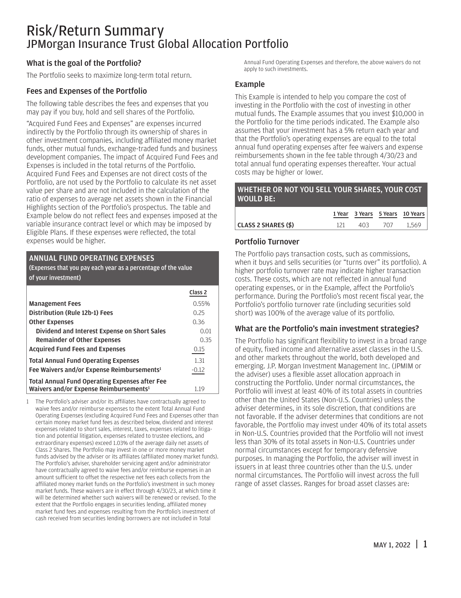### <span id="page-2-0"></span>Risk/Return Summary JPMorgan Insurance Trust Global Allocation Portfolio

#### What is the goal of the Portfolio?

The Portfolio seeks to maximize long-term total return.

#### Fees and Expenses of the Portfolio

The following table describes the fees and expenses that you may pay if you buy, hold and sell shares of the Portfolio.

"Acquired Fund Fees and Expenses" are expenses incurred indirectly by the Portfolio through its ownership of shares in other investment companies, including affiliated money market funds, other mutual funds, exchange-traded funds and business development companies. The impact of Acquired Fund Fees and Expenses is included in the total returns of the Portfolio. Acquired Fund Fees and Expenses are not direct costs of the Portfolio, are not used by the Portfolio to calculate its net asset value per share and are not included in the calculation of the ratio of expenses to average net assets shown in the Financial Highlights section of the Portfolio's prospectus. The table and Example below do not reflect fees and expenses imposed at the variable insurance contract level or which may be imposed by Eligible Plans. If these expenses were reflected, the total expenses would be higher.

#### ANNUAL FUND OPERATING EXPENSES

(Expenses that you pay each year as a percentage of the value of your investment)

|                                                                                                             | Class <sub>2</sub> |
|-------------------------------------------------------------------------------------------------------------|--------------------|
| <b>Management Fees</b>                                                                                      | 0.55%              |
| Distribution (Rule 12b-1) Fees                                                                              | 0.25               |
| <b>Other Expenses</b>                                                                                       | 0.36               |
| Dividend and Interest Expense on Short Sales                                                                | 0.01               |
| <b>Remainder of Other Expenses</b>                                                                          | 0.35               |
| <b>Acquired Fund Fees and Expenses</b>                                                                      | 0.15               |
| <b>Total Annual Fund Operating Expenses</b>                                                                 | 1.31               |
| Fee Waivers and/or Expense Reimbursements <sup>1</sup>                                                      | $-0.12$            |
| <b>Total Annual Fund Operating Expenses after Fee</b><br>Waivers and/or Expense Reimbursements <sup>1</sup> | 1.19               |

1 The Portfolio's adviser and/or its affiliates have contractually agreed to waive fees and/or reimburse expenses to the extent Total Annual Fund Operating Expenses (excluding Acquired Fund Fees and Expenses other than certain money market fund fees as described below, dividend and interest expenses related to short sales, interest, taxes, expenses related to litigation and potential litigation, expenses related to trustee elections, and extraordinary expenses) exceed 1.03% of the average daily net assets of Class 2 Shares. The Portfolio may invest in one or more money market funds advised by the adviser or its affiliates (affiliated money market funds). The Portfolio's adviser, shareholder servicing agent and/or administrator have contractually agreed to waive fees and/or reimburse expenses in an amount sufficient to offset the respective net fees each collects from the affiliated money market funds on the Portfolio's investment in such money market funds. These waivers are in effect through 4/30/23, at which time it will be determined whether such waivers will be renewed or revised. To the extent that the Portfolio engages in securities lending, affiliated money market fund fees and expenses resulting from the Portfolio's investment of cash received from securities lending borrowers are not included in Total

Annual Fund Operating Expenses and therefore, the above waivers do not apply to such investments.

#### Example

This Example is intended to help you compare the cost of investing in the Portfolio with the cost of investing in other mutual funds. The Example assumes that you invest \$10,000 in the Portfolio for the time periods indicated. The Example also assumes that your investment has a 5% return each year and that the Portfolio's operating expenses are equal to the total annual fund operating expenses after fee waivers and expense reimbursements shown in the fee table through 4/30/23 and total annual fund operating expenses thereafter. Your actual costs may be higher or lower.

#### WHETHER OR NOT YOU SELL YOUR SHARES, YOUR COST WOULD BE:

|                     |      |     | 1 Year 3 Years 5 Years 10 Years |
|---------------------|------|-----|---------------------------------|
| CLASS 2 SHARES (\$) | 403. | 707 | 1.569                           |

#### Portfolio Turnover

The Portfolio pays transaction costs, such as commissions, when it buys and sells securities (or "turns over" its portfolio). A higher portfolio turnover rate may indicate higher transaction costs. These costs, which are not reflected in annual fund operating expenses, or in the Example, affect the Portfolio's performance. During the Portfolio's most recent fiscal year, the Portfolio's portfolio turnover rate (including securities sold short) was 100% of the average value of its portfolio.

#### What are the Portfolio's main investment strategies?

The Portfolio has significant flexibility to invest in a broad range of equity, fixed income and alternative asset classes in the U.S. and other markets throughout the world, both developed and emerging. J.P. Morgan Investment Management Inc. (JPMIM or the adviser) uses a flexible asset allocation approach in constructing the Portfolio. Under normal circumstances, the Portfolio will invest at least 40% of its total assets in countries other than the United States (Non-U.S. Countries) unless the adviser determines, in its sole discretion, that conditions are not favorable. If the adviser determines that conditions are not favorable, the Portfolio may invest under 40% of its total assets in Non-U.S. Countries provided that the Portfolio will not invest less than 30% of its total assets in Non-U.S. Countries under normal circumstances except for temporary defensive purposes. In managing the Portfolio, the adviser will invest in issuers in at least three countries other than the U.S. under normal circumstances. The Portfolio will invest across the full range of asset classes. Ranges for broad asset classes are: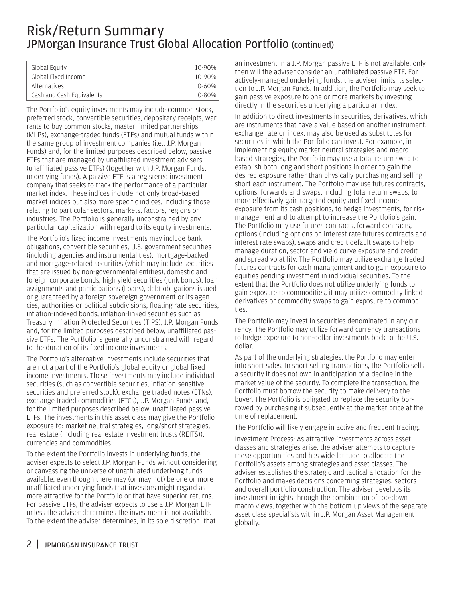### Risk/Return Summary JPMorgan Insurance Trust Global Allocation Portfolio (continued)

| Global Equity             | 10-90%    |
|---------------------------|-----------|
| Global Fixed Income       | 10-90%    |
| <b>Alternatives</b>       | $0 - 60%$ |
| Cash and Cash Equivalents | $0 - 80%$ |
|                           |           |

The Portfolio's equity investments may include common stock, preferred stock, convertible securities, depositary receipts, warrants to buy common stocks, master limited partnerships (MLPs), exchange-traded funds (ETFs) and mutual funds within the same group of investment companies (i.e., J.P. Morgan Funds) and, for the limited purposes described below, passive ETFs that are managed by unaffiliated investment advisers (unaffiliated passive ETFs) (together with J.P. Morgan Funds, underlying funds). A passive ETF is a registered investment company that seeks to track the performance of a particular market index. These indices include not only broad-based market indices but also more specific indices, including those relating to particular sectors, markets, factors, regions or industries. The Portfolio is generally unconstrained by any particular capitalization with regard to its equity investments.

The Portfolio's fixed income investments may include bank obligations, convertible securities, U.S. government securities (including agencies and instrumentalities), mortgage-backed and mortgage-related securities (which may include securities that are issued by non-governmental entities), domestic and foreign corporate bonds, high yield securities (junk bonds), loan assignments and participations (Loans), debt obligations issued or guaranteed by a foreign sovereign government or its agencies, authorities or political subdivisions, floating rate securities, inflation-indexed bonds, inflation-linked securities such as Treasury Inflation Protected Securities (TIPS), J.P. Morgan Funds and, for the limited purposes described below, unaffiliated passive ETFs. The Portfolio is generally unconstrained with regard to the duration of its fixed income investments.

The Portfolio's alternative investments include securities that are not a part of the Portfolio's global equity or global fixed income investments. These investments may include individual securities (such as convertible securities, inflation-sensitive securities and preferred stock), exchange traded notes (ETNs), exchange traded commodities (ETCs), J.P. Morgan Funds and, for the limited purposes described below, unaffiliated passive ETFs. The investments in this asset class may give the Portfolio exposure to: market neutral strategies, long/short strategies, real estate (including real estate investment trusts (REITS)), currencies and commodities.

To the extent the Portfolio invests in underlying funds, the adviser expects to select J.P. Morgan Funds without considering or canvassing the universe of unaffiliated underlying funds available, even though there may (or may not) be one or more unaffiliated underlying funds that investors might regard as more attractive for the Portfolio or that have superior returns. For passive ETFs, the adviser expects to use a J.P. Morgan ETF unless the adviser determines the investment is not available. To the extent the adviser determines, in its sole discretion, that

an investment in a J.P. Morgan passive ETF is not available, only then will the adviser consider an unaffiliated passive ETF. For actively-managed underlying funds, the adviser limits its selection to J.P. Morgan Funds. In addition, the Portfolio may seek to gain passive exposure to one or more markets by investing directly in the securities underlying a particular index.

In addition to direct investments in securities, derivatives, which are instruments that have a value based on another instrument, exchange rate or index, may also be used as substitutes for securities in which the Portfolio can invest. For example, in implementing equity market neutral strategies and macro based strategies, the Portfolio may use a total return swap to establish both long and short positions in order to gain the desired exposure rather than physically purchasing and selling short each instrument. The Portfolio may use futures contracts, options, forwards and swaps, including total return swaps, to more effectively gain targeted equity and fixed income exposure from its cash positions, to hedge investments, for risk management and to attempt to increase the Portfolio's gain. The Portfolio may use futures contracts, forward contracts, options (including options on interest rate futures contracts and interest rate swaps), swaps and credit default swaps to help manage duration, sector and yield curve exposure and credit and spread volatility. The Portfolio may utilize exchange traded futures contracts for cash management and to gain exposure to equities pending investment in individual securities. To the extent that the Portfolio does not utilize underlying funds to gain exposure to commodities, it may utilize commodity linked derivatives or commodity swaps to gain exposure to commodities.

The Portfolio may invest in securities denominated in any currency. The Portfolio may utilize forward currency transactions to hedge exposure to non-dollar investments back to the U.S. dollar.

As part of the underlying strategies, the Portfolio may enter into short sales. In short selling transactions, the Portfolio sells a security it does not own in anticipation of a decline in the market value of the security. To complete the transaction, the Portfolio must borrow the security to make delivery to the buyer. The Portfolio is obligated to replace the security borrowed by purchasing it subsequently at the market price at the time of replacement.

The Portfolio will likely engage in active and frequent trading.

Investment Process: As attractive investments across asset classes and strategies arise, the adviser attempts to capture these opportunities and has wide latitude to allocate the Portfolio's assets among strategies and asset classes. The adviser establishes the strategic and tactical allocation for the Portfolio and makes decisions concerning strategies, sectors and overall portfolio construction. The adviser develops its investment insights through the combination of top-down macro views, together with the bottom-up views of the separate asset class specialists within J.P. Morgan Asset Management globally.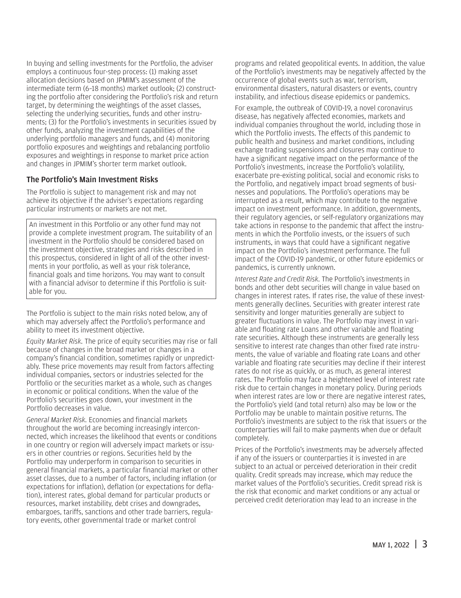In buying and selling investments for the Portfolio, the adviser employs a continuous four-step process: (1) making asset allocation decisions based on JPMIM's assessment of the intermediate term (6–18 months) market outlook; (2) constructing the portfolio after considering the Portfolio's risk and return target, by determining the weightings of the asset classes, selecting the underlying securities, funds and other instruments; (3) for the Portfolio's investments in securities issued by other funds, analyzing the investment capabilities of the underlying portfolio managers and funds, and (4) monitoring portfolio exposures and weightings and rebalancing portfolio exposures and weightings in response to market price action and changes in JPMIM's shorter term market outlook.

#### The Portfolio's Main Investment Risks

The Portfolio is subject to management risk and may not achieve its objective if the adviser's expectations regarding particular instruments or markets are not met.

An investment in this Portfolio or any other fund may not provide a complete investment program. The suitability of an investment in the Portfolio should be considered based on the investment objective, strategies and risks described in this prospectus, considered in light of all of the other investments in your portfolio, as well as your risk tolerance, financial goals and time horizons. You may want to consult with a financial advisor to determine if this Portfolio is suitable for you.

The Portfolio is subject to the main risks noted below, any of which may adversely affect the Portfolio's performance and ability to meet its investment objective.

*Equity Market Risk.* The price of equity securities may rise or fall because of changes in the broad market or changes in a company's financial condition, sometimes rapidly or unpredictably. These price movements may result from factors affecting individual companies, sectors or industries selected for the Portfolio or the securities market as a whole, such as changes in economic or political conditions. When the value of the Portfolio's securities goes down, your investment in the Portfolio decreases in value.

*General Market Risk.* Economies and financial markets throughout the world are becoming increasingly interconnected, which increases the likelihood that events or conditions in one country or region will adversely impact markets or issuers in other countries or regions. Securities held by the Portfolio may underperform in comparison to securities in general financial markets, a particular financial market or other asset classes, due to a number of factors, including inflation (or expectations for inflation), deflation (or expectations for deflation), interest rates, global demand for particular products or resources, market instability, debt crises and downgrades, embargoes, tariffs, sanctions and other trade barriers, regulatory events, other governmental trade or market control

programs and related geopolitical events. In addition, the value of the Portfolio's investments may be negatively affected by the occurrence of global events such as war, terrorism, environmental disasters, natural disasters or events, country instability, and infectious disease epidemics or pandemics.

For example, the outbreak of COVID-19, a novel coronavirus disease, has negatively affected economies, markets and individual companies throughout the world, including those in which the Portfolio invests. The effects of this pandemic to public health and business and market conditions, including exchange trading suspensions and closures may continue to have a significant negative impact on the performance of the Portfolio's investments, increase the Portfolio's volatility, exacerbate pre-existing political, social and economic risks to the Portfolio, and negatively impact broad segments of businesses and populations. The Portfolio's operations may be interrupted as a result, which may contribute to the negative impact on investment performance. In addition, governments, their regulatory agencies, or self-regulatory organizations may take actions in response to the pandemic that affect the instruments in which the Portfolio invests, or the issuers of such instruments, in ways that could have a significant negative impact on the Portfolio's investment performance. The full impact of the COVID-19 pandemic, or other future epidemics or pandemics, is currently unknown.

*Interest Rate and Credit Risk.* The Portfolio's investments in bonds and other debt securities will change in value based on changes in interest rates. If rates rise, the value of these investments generally declines. Securities with greater interest rate sensitivity and longer maturities generally are subject to greater fluctuations in value. The Portfolio may invest in variable and floating rate Loans and other variable and floating rate securities. Although these instruments are generally less sensitive to interest rate changes than other fixed rate instruments, the value of variable and floating rate Loans and other variable and floating rate securities may decline if their interest rates do not rise as quickly, or as much, as general interest rates. The Portfolio may face a heightened level of interest rate risk due to certain changes in monetary policy. During periods when interest rates are low or there are negative interest rates, the Portfolio's yield (and total return) also may be low or the Portfolio may be unable to maintain positive returns. The Portfolio's investments are subject to the risk that issuers or the counterparties will fail to make payments when due or default completely.

Prices of the Portfolio's investments may be adversely affected if any of the issuers or counterparties it is invested in are subject to an actual or perceived deterioration in their credit quality. Credit spreads may increase, which may reduce the market values of the Portfolio's securities. Credit spread risk is the risk that economic and market conditions or any actual or perceived credit deterioration may lead to an increase in the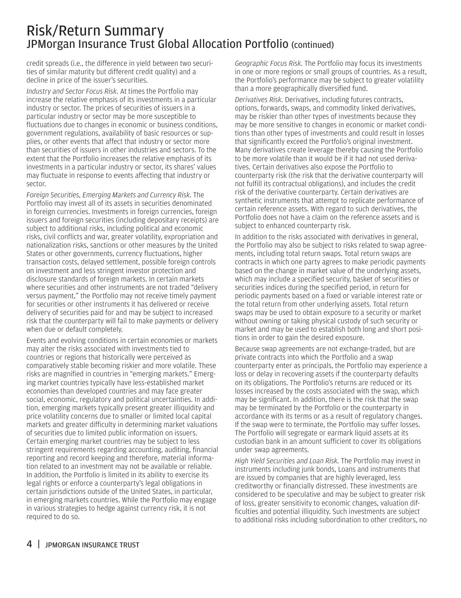### Risk/Return Summary JPMorgan Insurance Trust Global Allocation Portfolio (continued)

credit spreads (i.e., the difference in yield between two securities of similar maturity but different credit quality) and a decline in price of the issuer's securities.

*Industry and Sector Focus Risk.* At times the Portfolio may increase the relative emphasis of its investments in a particular industry or sector. The prices of securities of issuers in a particular industry or sector may be more susceptible to fluctuations due to changes in economic or business conditions, government regulations, availability of basic resources or supplies, or other events that affect that industry or sector more than securities of issuers in other industries and sectors. To the extent that the Portfolio increases the relative emphasis of its investments in a particular industry or sector, its shares' values may fluctuate in response to events affecting that industry or sector.

*Foreign Securities, Emerging Markets and Currency Risk.* The Portfolio may invest all of its assets in securities denominated in foreign currencies. Investments in foreign currencies, foreign issuers and foreign securities (including depositary receipts) are subject to additional risks, including political and economic risks, civil conflicts and war, greater volatility, expropriation and nationalization risks, sanctions or other measures by the United States or other governments, currency fluctuations, higher transaction costs, delayed settlement, possible foreign controls on investment and less stringent investor protection and disclosure standards of foreign markets. In certain markets where securities and other instruments are not traded "delivery versus payment," the Portfolio may not receive timely payment for securities or other instruments it has delivered or receive delivery of securities paid for and may be subject to increased risk that the counterparty will fail to make payments or delivery when due or default completely.

Events and evolving conditions in certain economies or markets may alter the risks associated with investments tied to countries or regions that historically were perceived as comparatively stable becoming riskier and more volatile. These risks are magnified in countries in "emerging markets." Emerging market countries typically have less-established market economies than developed countries and may face greater social, economic, regulatory and political uncertainties. In addition, emerging markets typically present greater illiquidity and price volatility concerns due to smaller or limited local capital markets and greater difficulty in determining market valuations of securities due to limited public information on issuers. Certain emerging market countries may be subject to less stringent requirements regarding accounting, auditing, financial reporting and record keeping and therefore, material information related to an investment may not be available or reliable. In addition, the Portfolio is limited in its ability to exercise its legal rights or enforce a counterparty's legal obligations in certain jurisdictions outside of the United States, in particular, in emerging markets countries. While the Portfolio may engage in various strategies to hedge against currency risk, it is not required to do so.

*Geographic Focus Risk.* The Portfolio may focus its investments in one or more regions or small groups of countries. As a result, the Portfolio's performance may be subject to greater volatility than a more geographically diversified fund.

*Derivatives Risk.* Derivatives, including futures contracts, options, forwards, swaps, and commodity linked derivatives, may be riskier than other types of investments because they may be more sensitive to changes in economic or market conditions than other types of investments and could result in losses that significantly exceed the Portfolio's original investment. Many derivatives create leverage thereby causing the Portfolio to be more volatile than it would be if it had not used derivatives. Certain derivatives also expose the Portfolio to counterparty risk (the risk that the derivative counterparty will not fulfill its contractual obligations), and includes the credit risk of the derivative counterparty. Certain derivatives are synthetic instruments that attempt to replicate performance of certain reference assets. With regard to such derivatives, the Portfolio does not have a claim on the reference assets and is subject to enhanced counterparty risk.

In addition to the risks associated with derivatives in general, the Portfolio may also be subject to risks related to swap agreements, including total return swaps. Total return swaps are contracts in which one party agrees to make periodic payments based on the change in market value of the underlying assets, which may include a specified security, basket of securities or securities indices during the specified period, in return for periodic payments based on a fixed or variable interest rate or the total return from other underlying assets. Total return swaps may be used to obtain exposure to a security or market without owning or taking physical custody of such security or market and may be used to establish both long and short positions in order to gain the desired exposure.

Because swap agreements are not exchange-traded, but are private contracts into which the Portfolio and a swap counterparty enter as principals, the Portfolio may experience a loss or delay in recovering assets if the counterparty defaults on its obligations. The Portfolio's returns are reduced or its losses increased by the costs associated with the swap, which may be significant. In addition, there is the risk that the swap may be terminated by the Portfolio or the counterparty in accordance with its terms or as a result of regulatory changes. If the swap were to terminate, the Portfolio may suffer losses. The Portfolio will segregate or earmark liquid assets at its custodian bank in an amount sufficient to cover its obligations under swap agreements.

*High Yield Securities and Loan Risk.* The Portfolio may invest in instruments including junk bonds, Loans and instruments that are issued by companies that are highly leveraged, less creditworthy or financially distressed. These investments are considered to be speculative and may be subject to greater risk of loss, greater sensitivity to economic changes, valuation difficulties and potential illiquidity. Such investments are subject to additional risks including subordination to other creditors, no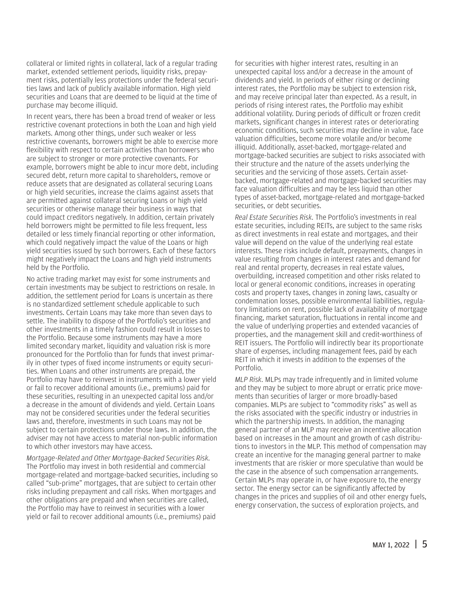collateral or limited rights in collateral, lack of a regular trading market, extended settlement periods, liquidity risks, prepayment risks, potentially less protections under the federal securities laws and lack of publicly available information. High yield securities and Loans that are deemed to be liquid at the time of purchase may become illiquid.

In recent years, there has been a broad trend of weaker or less restrictive covenant protections in both the Loan and high yield markets. Among other things, under such weaker or less restrictive covenants, borrowers might be able to exercise more flexibility with respect to certain activities than borrowers who are subject to stronger or more protective covenants. For example, borrowers might be able to incur more debt, including secured debt, return more capital to shareholders, remove or reduce assets that are designated as collateral securing Loans or high yield securities, increase the claims against assets that are permitted against collateral securing Loans or high yield securities or otherwise manage their business in ways that could impact creditors negatively. In addition, certain privately held borrowers might be permitted to file less frequent, less detailed or less timely financial reporting or other information, which could negatively impact the value of the Loans or high yield securities issued by such borrowers. Each of these factors might negatively impact the Loans and high yield instruments held by the Portfolio.

No active trading market may exist for some instruments and certain investments may be subject to restrictions on resale. In addition, the settlement period for Loans is uncertain as there is no standardized settlement schedule applicable to such investments. Certain Loans may take more than seven days to settle. The inability to dispose of the Portfolio's securities and other investments in a timely fashion could result in losses to the Portfolio. Because some instruments may have a more limited secondary market, liquidity and valuation risk is more pronounced for the Portfolio than for funds that invest primarily in other types of fixed income instruments or equity securities. When Loans and other instruments are prepaid, the Portfolio may have to reinvest in instruments with a lower yield or fail to recover additional amounts (i.e., premiums) paid for these securities, resulting in an unexpected capital loss and/or a decrease in the amount of dividends and yield. Certain Loans may not be considered securities under the federal securities laws and, therefore, investments in such Loans may not be subject to certain protections under those laws. In addition, the adviser may not have access to material non-public information to which other investors may have access.

*Mortgage-Related and Other Mortgage-Backed Securities Risk.* The Portfolio may invest in both residential and commercial mortgage-related and mortgage-backed securities, including so called "sub-prime" mortgages, that are subject to certain other risks including prepayment and call risks. When mortgages and other obligations are prepaid and when securities are called, the Portfolio may have to reinvest in securities with a lower yield or fail to recover additional amounts (i.e., premiums) paid

for securities with higher interest rates, resulting in an unexpected capital loss and/or a decrease in the amount of dividends and yield. In periods of either rising or declining interest rates, the Portfolio may be subject to extension risk, and may receive principal later than expected. As a result, in periods of rising interest rates, the Portfolio may exhibit additional volatility. During periods of difficult or frozen credit markets, significant changes in interest rates or deteriorating economic conditions, such securities may decline in value, face valuation difficulties, become more volatile and/or become illiquid. Additionally, asset-backed, mortgage-related and mortgage-backed securities are subject to risks associated with their structure and the nature of the assets underlying the securities and the servicing of those assets. Certain assetbacked, mortgage-related and mortgage-backed securities may face valuation difficulties and may be less liquid than other types of asset-backed, mortgage-related and mortgage-backed securities, or debt securities.

*Real Estate Securities Risk.* The Portfolio's investments in real estate securities, including REITs, are subject to the same risks as direct investments in real estate and mortgages, and their value will depend on the value of the underlying real estate interests. These risks include default, prepayments, changes in value resulting from changes in interest rates and demand for real and rental property, decreases in real estate values, overbuilding, increased competition and other risks related to local or general economic conditions, increases in operating costs and property taxes, changes in zoning laws, casualty or condemnation losses, possible environmental liabilities, regulatory limitations on rent, possible lack of availability of mortgage financing, market saturation, fluctuations in rental income and the value of underlying properties and extended vacancies of properties, and the management skill and credit-worthiness of REIT issuers. The Portfolio will indirectly bear its proportionate share of expenses, including management fees, paid by each REIT in which it invests in addition to the expenses of the Portfolio.

*MLP Risk.* MLPs may trade infrequently and in limited volume and they may be subject to more abrupt or erratic price movements than securities of larger or more broadly-based companies. MLPs are subject to "commodity risks" as well as the risks associated with the specific industry or industries in which the partnership invests. In addition, the managing general partner of an MLP may receive an incentive allocation based on increases in the amount and growth of cash distributions to investors in the MLP. This method of compensation may create an incentive for the managing general partner to make investments that are riskier or more speculative than would be the case in the absence of such compensation arrangements. Certain MLPs may operate in, or have exposure to, the energy sector. The energy sector can be significantly affected by changes in the prices and supplies of oil and other energy fuels, energy conservation, the success of exploration projects, and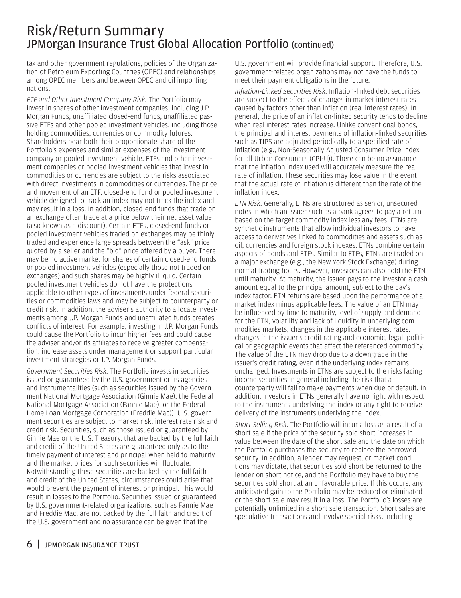### Risk/Return Summary JPMorgan Insurance Trust Global Allocation Portfolio (continued)

tax and other government regulations, policies of the Organization of Petroleum Exporting Countries (OPEC) and relationships among OPEC members and between OPEC and oil importing nations.

*ETF and Other Investment Company Risk.* The Portfolio may invest in shares of other investment companies, including J.P. Morgan Funds, unaffiliated closed-end funds, unaffiliated passive ETFs and other pooled investment vehicles, including those holding commodities, currencies or commodity futures. Shareholders bear both their proportionate share of the Portfolio's expenses and similar expenses of the investment company or pooled investment vehicle. ETFs and other investment companies or pooled investment vehicles that invest in commodities or currencies are subject to the risks associated with direct investments in commodities or currencies. The price and movement of an ETF, closed-end fund or pooled investment vehicle designed to track an index may not track the index and may result in a loss. In addition, closed-end funds that trade on an exchange often trade at a price below their net asset value (also known as a discount). Certain ETFs, closed-end funds or pooled investment vehicles traded on exchanges may be thinly traded and experience large spreads between the "ask" price quoted by a seller and the "bid" price offered by a buyer. There may be no active market for shares of certain closed-end funds or pooled investment vehicles (especially those not traded on exchanges) and such shares may be highly illiquid. Certain pooled investment vehicles do not have the protections applicable to other types of investments under federal securities or commodities laws and may be subject to counterparty or credit risk. In addition, the adviser's authority to allocate investments among J.P. Morgan Funds and unaffiliated funds creates conflicts of interest. For example, investing in J.P. Morgan Funds could cause the Portfolio to incur higher fees and could cause the adviser and/or its affiliates to receive greater compensation, increase assets under management or support particular investment strategies or J.P. Morgan Funds.

*Government Securities Risk.* The Portfolio invests in securities issued or guaranteed by the U.S. government or its agencies and instrumentalities (such as securities issued by the Government National Mortgage Association (Ginnie Mae), the Federal National Mortgage Association (Fannie Mae), or the Federal Home Loan Mortgage Corporation (Freddie Mac)). U.S. government securities are subject to market risk, interest rate risk and credit risk. Securities, such as those issued or guaranteed by Ginnie Mae or the U.S. Treasury, that are backed by the full faith and credit of the United States are guaranteed only as to the timely payment of interest and principal when held to maturity and the market prices for such securities will fluctuate. Notwithstanding these securities are backed by the full faith and credit of the United States, circumstances could arise that would prevent the payment of interest or principal. This would result in losses to the Portfolio. Securities issued or guaranteed by U.S. government-related organizations, such as Fannie Mae and Freddie Mac, are not backed by the full faith and credit of the U.S. government and no assurance can be given that the

U.S. government will provide financial support. Therefore, U.S. government-related organizations may not have the funds to meet their payment obligations in the future.

*Inflation-Linked Securities Risk.* Inflation-linked debt securities are subject to the effects of changes in market interest rates caused by factors other than inflation (real interest rates). In general, the price of an inflation-linked security tends to decline when real interest rates increase. Unlike conventional bonds, the principal and interest payments of inflation-linked securities such as TIPS are adjusted periodically to a specified rate of inflation (e.g., Non-Seasonally Adjusted Consumer Price Index for all Urban Consumers (CPI-U)). There can be no assurance that the inflation index used will accurately measure the real rate of inflation. These securities may lose value in the event that the actual rate of inflation is different than the rate of the inflation index.

*ETN Risk.* Generally, ETNs are structured as senior, unsecured notes in which an issuer such as a bank agrees to pay a return based on the target commodity index less any fees. ETNs are synthetic instruments that allow individual investors to have access to derivatives linked to commodities and assets such as oil, currencies and foreign stock indexes. ETNs combine certain aspects of bonds and ETFs. Similar to ETFs, ETNs are traded on a major exchange (e.g., the New York Stock Exchange) during normal trading hours. However, investors can also hold the ETN until maturity. At maturity, the issuer pays to the investor a cash amount equal to the principal amount, subject to the day's index factor. ETN returns are based upon the performance of a market index minus applicable fees. The value of an ETN may be influenced by time to maturity, level of supply and demand for the ETN, volatility and lack of liquidity in underlying commodities markets, changes in the applicable interest rates, changes in the issuer's credit rating and economic, legal, political or geographic events that affect the referenced commodity. The value of the ETN may drop due to a downgrade in the issuer's credit rating, even if the underlying index remains unchanged. Investments in ETNs are subject to the risks facing income securities in general including the risk that a counterparty will fail to make payments when due or default. In addition, investors in ETNs generally have no right with respect to the instruments underlying the index or any right to receive delivery of the instruments underlying the index.

*Short Selling Risk.* The Portfolio will incur a loss as a result of a short sale if the price of the security sold short increases in value between the date of the short sale and the date on which the Portfolio purchases the security to replace the borrowed security. In addition, a lender may request, or market conditions may dictate, that securities sold short be returned to the lender on short notice, and the Portfolio may have to buy the securities sold short at an unfavorable price. If this occurs, any anticipated gain to the Portfolio may be reduced or eliminated or the short sale may result in a loss. The Portfolio's losses are potentially unlimited in a short sale transaction. Short sales are speculative transactions and involve special risks, including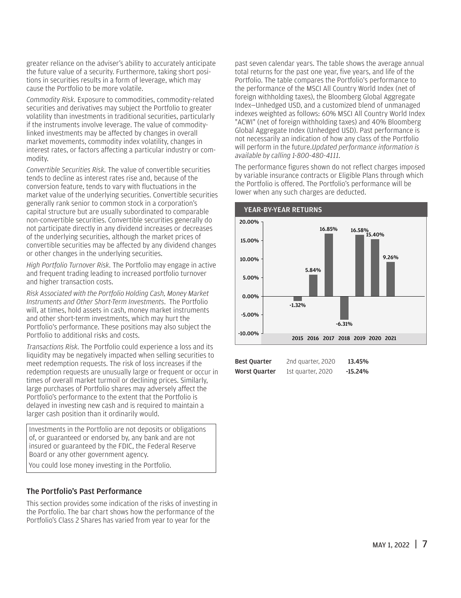greater reliance on the adviser's ability to accurately anticipate the future value of a security. Furthermore, taking short positions in securities results in a form of leverage, which may cause the Portfolio to be more volatile.

*Commodity Risk.* Exposure to commodities, commodity-related securities and derivatives may subject the Portfolio to greater volatility than investments in traditional securities, particularly if the instruments involve leverage. The value of commoditylinked investments may be affected by changes in overall market movements, commodity index volatility, changes in interest rates, or factors affecting a particular industry or commodity.

*Convertible Securities Risk.* The value of convertible securities tends to decline as interest rates rise and, because of the conversion feature, tends to vary with fluctuations in the market value of the underlying securities. Convertible securities generally rank senior to common stock in a corporation's capital structure but are usually subordinated to comparable non-convertible securities. Convertible securities generally do not participate directly in any dividend increases or decreases of the underlying securities, although the market prices of convertible securities may be affected by any dividend changes or other changes in the underlying securities.

*High Portfolio Turnover Risk.* The Portfolio may engage in active and frequent trading leading to increased portfolio turnover and higher transaction costs.

*Risk Associated with the Portfolio Holding Cash, Money Market Instruments and Other Short-Term Investments*. The Portfolio will, at times, hold assets in cash, money market instruments and other short-term investments, which may hurt the Portfolio's performance. These positions may also subject the Portfolio to additional risks and costs.

*Transactions Risk.* The Portfolio could experience a loss and its liquidity may be negatively impacted when selling securities to meet redemption requests. The risk of loss increases if the redemption requests are unusually large or frequent or occur in times of overall market turmoil or declining prices. Similarly, large purchases of Portfolio shares may adversely affect the Portfolio's performance to the extent that the Portfolio is delayed in investing new cash and is required to maintain a larger cash position than it ordinarily would.

Investments in the Portfolio are not deposits or obligations of, or guaranteed or endorsed by, any bank and are not insured or guaranteed by the FDIC, the Federal Reserve Board or any other government agency.

You could lose money investing in the Portfolio.

#### The Portfolio's Past Performance

This section provides some indication of the risks of investing in the Portfolio. The bar chart shows how the performance of the Portfolio's Class 2 Shares has varied from year to year for the

past seven calendar years. The table shows the average annual total returns for the past one year, five years, and life of the Portfolio. The table compares the Portfolio's performance to the performance of the MSCI All Country World Index (net of foreign withholding taxes), the Bloomberg Global Aggregate Index—Unhedged USD, and a customized blend of unmanaged indexes weighted as follows: 60% MSCI All Country World Index "ACWI" (net of foreign withholding taxes) and 40% Bloomberg Global Aggregate Index (Unhedged USD). Past performance is not necessarily an indication of how any class of the Portfolio will perform in the future.*Updated performance information is available by calling 1-800-480-4111.*

The performance figures shown do not reflect charges imposed by variable insurance contracts or Eligible Plans through which the Portfolio is offered. The Portfolio's performance will be lower when any such charges are deducted.



| <b>Best Ouarter</b>  | 2nd quarter, 2020 | 13.45%    |
|----------------------|-------------------|-----------|
| <b>Worst Ouarter</b> | 1st quarter, 2020 | $-15.24%$ |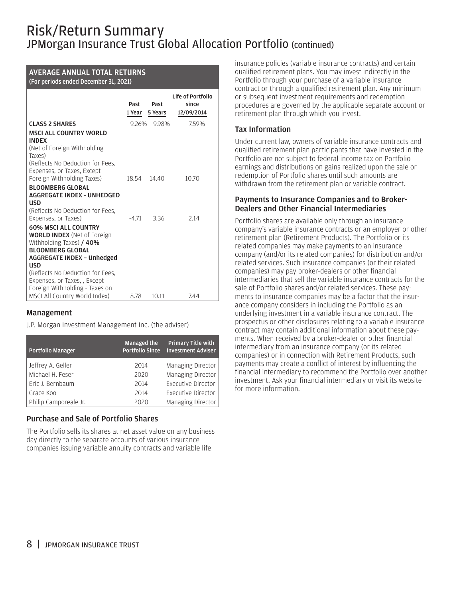### Risk/Return Summary JPMorgan Insurance Trust Global Allocation Portfolio (continued)

#### AVERAGE ANNUAL TOTAL RETURNS

#### (For periods ended December 31, 2021)

|                                                                                                                                                                      | Past<br>1 Year | Past<br>5 Years | Life of Portfolio<br>since<br>12/09/2014 |
|----------------------------------------------------------------------------------------------------------------------------------------------------------------------|----------------|-----------------|------------------------------------------|
| <b>CLASS 2 SHARES</b>                                                                                                                                                | 9.26%          | 9.98%           | 7.59%                                    |
| <b>MSCLALL COUNTRY WORLD</b><br><b>INDEX</b><br>(Net of Foreign Withholding<br>Taxes)<br>(Reflects No Deduction for Fees.                                            |                |                 |                                          |
| Expenses, or Taxes, Except<br>Foreign Withholding Taxes)                                                                                                             | 18.54          | 14.40           | 10.70                                    |
| <b>BLOOMBERG GLOBAL</b><br><b>AGGREGATE INDEX - UNHEDGED</b><br><b>USD</b><br>(Reflects No Deduction for Fees.<br>Expenses, or Taxes)                                | $-4.71$        | 3.36            | 2.14                                     |
| <b>60% MSCI ALL COUNTRY</b><br><b>WORLD INDEX</b> (Net of Foreign<br>Withholding Taxes) / 40%<br><b>BLOOMBERG GLOBAL</b><br>AGGREGATE INDEX - Unhedged<br><b>USD</b> |                |                 |                                          |
| (Reflects No Deduction for Fees.<br>Expenses, or Taxes, , Except<br>Foreign Withholding - Taxes on<br>MSCI All Country World Index)                                  | 8.78           | 10.11           | 7.44                                     |

#### Management

J.P. Morgan Investment Management Inc. (the adviser)

| <b>Portfolio Manager</b> | <b>Managed the</b><br><b>Portfolio Since</b> | <b>Primary Title with</b><br><b>Investment Adviser</b> |
|--------------------------|----------------------------------------------|--------------------------------------------------------|
| Jeffrey A. Geller        | 2014                                         | Managing Director                                      |
| Michael H. Feser         | 2020                                         | Managing Director                                      |
| Eric J. Bernbaum         | 2014                                         | Executive Director                                     |
| Grace Koo                | 2014                                         | Executive Director                                     |
| Philip Camporeale Jr.    | 2020                                         | Managing Director                                      |

#### Purchase and Sale of Portfolio Shares

The Portfolio sells its shares at net asset value on any business day directly to the separate accounts of various insurance companies issuing variable annuity contracts and variable life

insurance policies (variable insurance contracts) and certain qualified retirement plans. You may invest indirectly in the Portfolio through your purchase of a variable insurance contract or through a qualified retirement plan. Any minimum or subsequent investment requirements and redemption procedures are governed by the applicable separate account or retirement plan through which you invest.

#### Tax Information

Under current law, owners of variable insurance contracts and qualified retirement plan participants that have invested in the Portfolio are not subject to federal income tax on Portfolio earnings and distributions on gains realized upon the sale or redemption of Portfolio shares until such amounts are withdrawn from the retirement plan or variable contract.

#### Payments to Insurance Companies and to Broker-Dealers and Other Financial Intermediaries

Portfolio shares are available only through an insurance company's variable insurance contracts or an employer or other retirement plan (Retirement Products). The Portfolio or its related companies may make payments to an insurance company (and/or its related companies) for distribution and/or related services. Such insurance companies (or their related companies) may pay broker-dealers or other financial intermediaries that sell the variable insurance contracts for the sale of Portfolio shares and/or related services. These payments to insurance companies may be a factor that the insurance company considers in including the Portfolio as an underlying investment in a variable insurance contract. The prospectus or other disclosures relating to a variable insurance contract may contain additional information about these payments. When received by a broker-dealer or other financial intermediary from an insurance company (or its related companies) or in connection with Retirement Products, such payments may create a conflict of interest by influencing the financial intermediary to recommend the Portfolio over another investment. Ask your financial intermediary or visit its website for more information.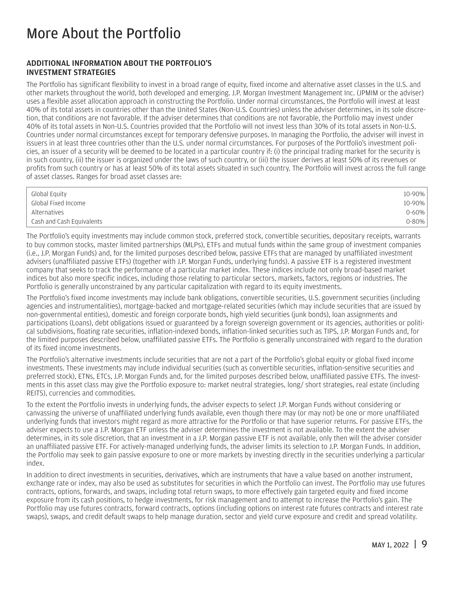### <span id="page-10-0"></span>More About the Portfolio

#### ADDITIONAL INFORMATION ABOUT THE PORTFOLIO'S INVESTMENT STRATEGIES

The Portfolio has significant flexibility to invest in a broad range of equity, fixed income and alternative asset classes in the U.S. and other markets throughout the world, both developed and emerging. J.P. Morgan Investment Management Inc. (JPMIM or the adviser) uses a flexible asset allocation approach in constructing the Portfolio. Under normal circumstances, the Portfolio will invest at least 40% of its total assets in countries other than the United States (Non-U.S. Countries) unless the adviser determines, in its sole discretion, that conditions are not favorable. If the adviser determines that conditions are not favorable, the Portfolio may invest under 40% of its total assets in Non-U.S. Countries provided that the Portfolio will not invest less than 30% of its total assets in Non-U.S. Countries under normal circumstances except for temporary defensive purposes. In managing the Portfolio, the adviser will invest in issuers in at least three countries other than the U.S. under normal circumstances. For purposes of the Portfolio's investment policies, an issuer of a security will be deemed to be located in a particular country if: (i) the principal trading market for the security is in such country, (ii) the issuer is organized under the laws of such country, or (iii) the issuer derives at least 50% of its revenues or profits from such country or has at least 50% of its total assets situated in such country. The Portfolio will invest across the full range of asset classes. Ranges for broad asset classes are:

| Global Equity             | 10-90%     |
|---------------------------|------------|
| Global Fixed Income       | 10-90%     |
| Alternatives              | $0 - 60\%$ |
| Cash and Cash Equivalents | $0 - 80%$  |

The Portfolio's equity investments may include common stock, preferred stock, convertible securities, depositary receipts, warrants to buy common stocks, master limited partnerships (MLPs), ETFs and mutual funds within the same group of investment companies (i.e., J.P. Morgan Funds) and, for the limited purposes described below, passive ETFs that are managed by unaffiliated investment advisers (unaffiliated passive ETFs) (together with J.P. Morgan Funds, underlying funds). A passive ETF is a registered investment company that seeks to track the performance of a particular market index. These indices include not only broad-based market indices but also more specific indices, including those relating to particular sectors, markets, factors, regions or industries. The Portfolio is generally unconstrained by any particular capitalization with regard to its equity investments.

The Portfolio's fixed income investments may include bank obligations, convertible securities, U.S. government securities (including agencies and instrumentalities), mortgage-backed and mortgage-related securities (which may include securities that are issued by non-governmental entities), domestic and foreign corporate bonds, high yield securities (junk bonds), loan assignments and participations (Loans), debt obligations issued or guaranteed by a foreign sovereign government or its agencies, authorities or political subdivisions, floating rate securities, inflation-indexed bonds, inflation-linked securities such as TIPS, J.P. Morgan Funds and, for the limited purposes described below, unaffiliated passive ETFs. The Portfolio is generally unconstrained with regard to the duration of its fixed income investments.

The Portfolio's alternative investments include securities that are not a part of the Portfolio's global equity or global fixed income investments. These investments may include individual securities (such as convertible securities, inflation-sensitive securities and preferred stock), ETNs, ETCs, J.P. Morgan Funds and, for the limited purposes described below, unaffiliated passive ETFs. The investments in this asset class may give the Portfolio exposure to: market neutral strategies, long/ short strategies, real estate (including REITS), currencies and commodities.

To the extent the Portfolio invests in underlying funds, the adviser expects to select J.P. Morgan Funds without considering or canvassing the universe of unaffiliated underlying funds available, even though there may (or may not) be one or more unaffiliated underlying funds that investors might regard as more attractive for the Portfolio or that have superior returns. For passive ETFs, the adviser expects to use a J.P. Morgan ETF unless the adviser determines the investment is not available. To the extent the adviser determines, in its sole discretion, that an investment in a J.P. Morgan passive ETF is not available, only then will the adviser consider an unaffiliated passive ETF. For actively-managed underlying funds, the adviser limits its selection to J.P. Morgan Funds. In addition, the Portfolio may seek to gain passive exposure to one or more markets by investing directly in the securities underlying a particular index.

In addition to direct investments in securities, derivatives, which are instruments that have a value based on another instrument, exchange rate or index, may also be used as substitutes for securities in which the Portfolio can invest. The Portfolio may use futures contracts, options, forwards, and swaps, including total return swaps, to more effectively gain targeted equity and fixed income exposure from its cash positions, to hedge investments, for risk management and to attempt to increase the Portfolio's gain. The Portfolio may use futures contracts, forward contracts, options (including options on interest rate futures contracts and interest rate swaps), swaps, and credit default swaps to help manage duration, sector and yield curve exposure and credit and spread volatility.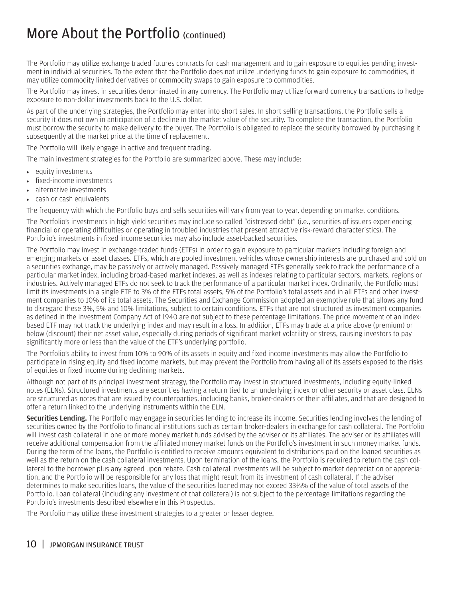The Portfolio may utilize exchange traded futures contracts for cash management and to gain exposure to equities pending investment in individual securities. To the extent that the Portfolio does not utilize underlying funds to gain exposure to commodities, it may utilize commodity linked derivatives or commodity swaps to gain exposure to commodities.

The Portfolio may invest in securities denominated in any currency. The Portfolio may utilize forward currency transactions to hedge exposure to non-dollar investments back to the U.S. dollar.

As part of the underlying strategies, the Portfolio may enter into short sales. In short selling transactions, the Portfolio sells a security it does not own in anticipation of a decline in the market value of the security. To complete the transaction, the Portfolio must borrow the security to make delivery to the buyer. The Portfolio is obligated to replace the security borrowed by purchasing it subsequently at the market price at the time of replacement.

The Portfolio will likely engage in active and frequent trading.

The main investment strategies for the Portfolio are summarized above. These may include:

- equity investments
- fixed-income investments
- alternative investments
- cash or cash equivalents

The frequency with which the Portfolio buys and sells securities will vary from year to year, depending on market conditions.

The Portfolio's investments in high yield securities may include so called "distressed debt" (i.e., securities of issuers experiencing financial or operating difficulties or operating in troubled industries that present attractive risk-reward characteristics). The Portfolio's investments in fixed income securities may also include asset-backed securities.

The Portfolio may invest in exchange-traded funds (ETFs) in order to gain exposure to particular markets including foreign and emerging markets or asset classes. ETFs, which are pooled investment vehicles whose ownership interests are purchased and sold on a securities exchange, may be passively or actively managed. Passively managed ETFs generally seek to track the performance of a particular market index, including broad-based market indexes, as well as indexes relating to particular sectors, markets, regions or industries. Actively managed ETFs do not seek to track the performance of a particular market index. Ordinarily, the Portfolio must limit its investments in a single ETF to 3% of the ETFs total assets, 5% of the Portfolio's total assets and in all ETFs and other investment companies to 10% of its total assets. The Securities and Exchange Commission adopted an exemptive rule that allows any fund to disregard these 3%, 5% and 10% limitations, subject to certain conditions. ETFs that are not structured as investment companies as defined in the Investment Company Act of 1940 are not subject to these percentage limitations. The price movement of an indexbased ETF may not track the underlying index and may result in a loss. In addition, ETFs may trade at a price above (premium) or below (discount) their net asset value, especially during periods of significant market volatility or stress, causing investors to pay significantly more or less than the value of the ETF's underlying portfolio.

The Portfolio's ability to invest from 10% to 90% of its assets in equity and fixed income investments may allow the Portfolio to participate in rising equity and fixed income markets, but may prevent the Portfolio from having all of its assets exposed to the risks of equities or fixed income during declining markets.

Although not part of its principal investment strategy, the Portfolio may invest in structured investments, including equity-linked notes (ELNs). Structured investments are securities having a return tied to an underlying index or other security or asset class. ELNs are structured as notes that are issued by counterparties, including banks, broker-dealers or their affiliates, and that are designed to offer a return linked to the underlying instruments within the ELN.

Securities Lending. The Portfolio may engage in securities lending to increase its income. Securities lending involves the lending of securities owned by the Portfolio to financial institutions such as certain broker-dealers in exchange for cash collateral. The Portfolio will invest cash collateral in one or more money market funds advised by the adviser or its affiliates. The adviser or its affiliates will receive additional compensation from the affiliated money market funds on the Portfolio's investment in such money market funds. During the term of the loans, the Portfolio is entitled to receive amounts equivalent to distributions paid on the loaned securities as well as the return on the cash collateral investments. Upon termination of the loans, the Portfolio is required to return the cash collateral to the borrower plus any agreed upon rebate. Cash collateral investments will be subject to market depreciation or appreciation, and the Portfolio will be responsible for any loss that might result from its investment of cash collateral. If the adviser determines to make securities loans, the value of the securities loaned may not exceed 331 ⁄3% of the value of total assets of the Portfolio. Loan collateral (including any investment of that collateral) is not subject to the percentage limitations regarding the Portfolio's investments described elsewhere in this Prospectus.

The Portfolio may utilize these investment strategies to a greater or lesser degree.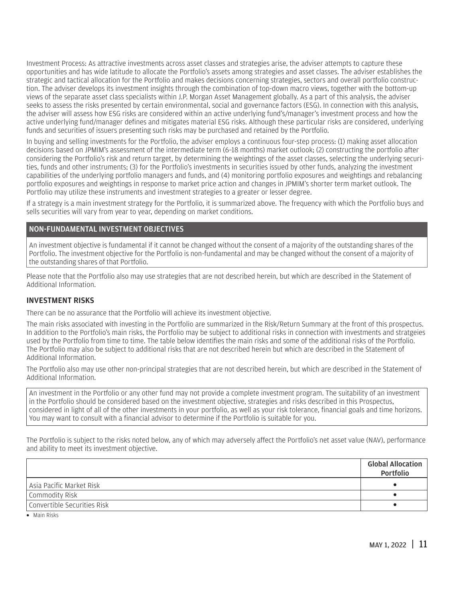<span id="page-12-0"></span>Investment Process: As attractive investments across asset classes and strategies arise, the adviser attempts to capture these opportunities and has wide latitude to allocate the Portfolio's assets among strategies and asset classes. The adviser establishes the strategic and tactical allocation for the Portfolio and makes decisions concerning strategies, sectors and overall portfolio construction. The adviser develops its investment insights through the combination of top-down macro views, together with the bottom-up views of the separate asset class specialists within J.P. Morgan Asset Management globally. As a part of this analysis, the adviser seeks to assess the risks presented by certain environmental, social and governance factors (ESG). In connection with this analysis, the adviser will assess how ESG risks are considered within an active underlying fund's/manager's investment process and how the active underlying fund/manager defines and mitigates material ESG risks. Although these particular risks are considered, underlying funds and securities of issuers presenting such risks may be purchased and retained by the Portfolio.

In buying and selling investments for the Portfolio, the adviser employs a continuous four-step process: (1) making asset allocation decisions based on JPMIM's assessment of the intermediate term (6–18 months) market outlook; (2) constructing the portfolio after considering the Portfolio's risk and return target, by determining the weightings of the asset classes, selecting the underlying securities, funds and other instruments; (3) for the Portfolio's investments in securities issued by other funds, analyzing the investment capabilities of the underlying portfolio managers and funds, and (4) monitoring portfolio exposures and weightings and rebalancing portfolio exposures and weightings in response to market price action and changes in JPMIM's shorter term market outlook. The Portfolio may utilize these instruments and investment strategies to a greater or lesser degree.

If a strategy is a main investment strategy for the Portfolio, it is summarized above. The frequency with which the Portfolio buys and sells securities will vary from year to year, depending on market conditions.

#### NON-FUNDAMENTAL INVESTMENT OBJECTIVES

An investment objective is fundamental if it cannot be changed without the consent of a majority of the outstanding shares of the Portfolio. The investment objective for the Portfolio is non-fundamental and may be changed without the consent of a majority of the outstanding shares of that Portfolio.

Please note that the Portfolio also may use strategies that are not described herein, but which are described in the Statement of Additional Information.

#### INVESTMENT RISKS

There can be no assurance that the Portfolio will achieve its investment objective.

The main risks associated with investing in the Portfolio are summarized in the Risk/Return Summary at the front of this prospectus. In addition to the Portfolio's main risks, the Portfolio may be subject to additional risks in connection with investments and stratgeies used by the Portfolio from time to time. The table below identifies the main risks and some of the additional risks of the Portfolio. The Portfolio may also be subject to additional risks that are not described herein but which are described in the Statement of Additional Information.

The Portfolio also may use other non-principal strategies that are not described herein, but which are described in the Statement of Additional Information.

An investment in the Portfolio or any other fund may not provide a complete investment program. The suitability of an investment in the Portfolio should be considered based on the investment objective, strategies and risks described in this Prospectus, considered in light of all of the other investments in your portfolio, as well as your risk tolerance, financial goals and time horizons. You may want to consult with a financial advisor to determine if the Portfolio is suitable for you.

The Portfolio is subject to the risks noted below, any of which may adversely affect the Portfolio's net asset value (NAV), performance and ability to meet its investment objective.

|                             | <b>Global Allocation</b><br>Portfolio |
|-----------------------------|---------------------------------------|
| Asia Pacific Market Risk    |                                       |
| Commodity Risk              |                                       |
| Convertible Securities Risk |                                       |

• Main Risks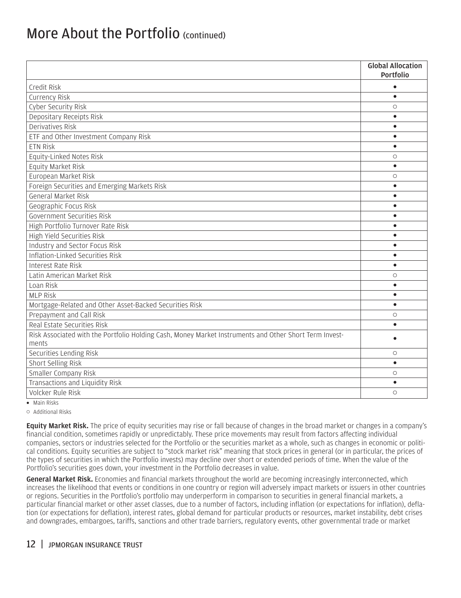|                                                                                                        | <b>Global Allocation</b><br>Portfolio |
|--------------------------------------------------------------------------------------------------------|---------------------------------------|
|                                                                                                        | $\bullet$                             |
| Credit Risk<br>Currency Risk                                                                           | $\bullet$                             |
|                                                                                                        | $\circ$                               |
| Cyber Security Risk<br>Depositary Receipts Risk                                                        | $\bullet$                             |
| Derivatives Risk                                                                                       | $\bullet$                             |
|                                                                                                        | $\bullet$                             |
| ETF and Other Investment Company Risk<br><b>ETN Risk</b>                                               | $\bullet$                             |
| Equity-Linked Notes Risk                                                                               | $\circ$                               |
| Equity Market Risk                                                                                     | $\bullet$                             |
| European Market Risk                                                                                   | $\circ$                               |
| Foreign Securities and Emerging Markets Risk                                                           | $\bullet$                             |
| <b>General Market Risk</b>                                                                             | $\bullet$                             |
| Geographic Focus Risk                                                                                  | $\bullet$                             |
| Government Securities Risk                                                                             | $\bullet$                             |
| High Portfolio Turnover Rate Risk                                                                      | $\bullet$                             |
| High Yield Securities Risk                                                                             | $\bullet$                             |
| Industry and Sector Focus Risk                                                                         | $\bullet$                             |
| Inflation-Linked Securities Risk                                                                       | $\bullet$                             |
| Interest Rate Risk                                                                                     | $\bullet$                             |
| Latin American Market Risk                                                                             | $\circ$                               |
| Loan Risk                                                                                              | $\bullet$                             |
| <b>MLP Risk</b>                                                                                        | $\bullet$                             |
| Mortgage-Related and Other Asset-Backed Securities Risk                                                | $\bullet$                             |
| Prepayment and Call Risk                                                                               | $\circ$                               |
| Real Estate Securities Risk                                                                            | $\bullet$                             |
| Risk Associated with the Portfolio Holding Cash, Money Market Instruments and Other Short Term Invest- |                                       |
| ments                                                                                                  | $\bullet$                             |
| Securities Lending Risk                                                                                | $\circ$                               |
| Short Selling Risk                                                                                     | $\bullet$                             |
| Smaller Company Risk                                                                                   | $\circlearrowright$                   |
| Transactions and Liquidity Risk                                                                        | $\bullet$                             |
| Volcker Rule Risk                                                                                      | $\circ$                               |
| $\bullet$ Main Risks                                                                                   |                                       |

o Additional Risks

Equity Market Risk. The price of equity securities may rise or fall because of changes in the broad market or changes in a company's financial condition, sometimes rapidly or unpredictably. These price movements may result from factors affecting individual companies, sectors or industries selected for the Portfolio or the securities market as a whole, such as changes in economic or political conditions. Equity securities are subject to "stock market risk" meaning that stock prices in general (or in particular, the prices of the types of securities in which the Portfolio invests) may decline over short or extended periods of time. When the value of the Portfolio's securities goes down, your investment in the Portfolio decreases in value.

General Market Risk. Economies and financial markets throughout the world are becoming increasingly interconnected, which increases the likelihood that events or conditions in one country or region will adversely impact markets or issuers in other countries or regions. Securities in the Portfolio's portfolio may underperform in comparison to securities in general financial markets, a particular financial market or other asset classes, due to a number of factors, including inflation (or expectations for inflation), deflation (or expectations for deflation), interest rates, global demand for particular products or resources, market instability, debt crises and downgrades, embargoes, tariffs, sanctions and other trade barriers, regulatory events, other governmental trade or market

#### 12 | JPMORGAN INSURANCE TRUST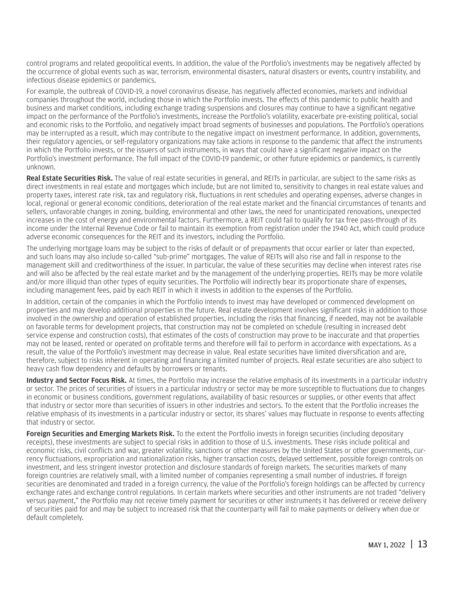control programs and related geopolitical events. In addition, the value of the Portfolio's investments may be negatively affected by the occurrence of global events such as war, terrorism, environmental disasters, natural disasters or events, country instability, and infectious disease epidemics or pandemics.

For example, the outbreak of COVID-19, a novel coronavirus disease, has negatively affected economies, markets and individual companies throughout the world, including those in which the Portfolio invests. The effects of this pandemic to public health and business and market conditions, including exchange trading suspensions and closures may continue to have a significant negative impact on the performance of the Portfolio's investments, increase the Portfolio's volatility, exacerbate pre-existing political, social and economic risks to the Portfolio, and negatively impact broad segments of businesses and populations. The Portfolio's operations may be interrupted as a result, which may contribute to the negative impact on investment performance. In addition, governments, their regulatory agencies, or self-regulatory organizations may take actions in response to the pandemic that affect the instruments in which the Portfolio invests, or the issuers of such instruments, in ways that could have a significant negative impact on the Portfolio's investment performance. The full impact of the COVID-19 pandemic, or other future epidemics or pandemics, is currently unknown.

Real Estate Securities Risk. The value of real estate securities in general, and REITs in particular, are subject to the same risks as direct investments in real estate and mortgages which include, but are not limited to, sensitivity to changes in real estate values and property taxes, interest rate risk, tax and regulatory risk, fluctuations in rent schedules and operating expenses, adverse changes in local, regional or general economic conditions, deterioration of the real estate market and the financial circumstances of tenants and sellers, unfavorable changes in zoning, building, environmental and other laws, the need for unanticipated renovations, unexpected increases in the cost of energy and environmental factors. Furthermore, a REIT could fail to qualify for tax free pass-through of its income under the Internal Revenue Code or fail to maintain its exemption from registration under the 1940 Act, which could produce adverse economic consequences for the REIT and its investors, including the Portfolio.

The underlying mortgage loans may be subject to the risks of default or of prepayments that occur earlier or later than expected, and such loans may also include so-called "sub-prime" mortgages. The value of REITs will also rise and fall in response to the management skill and creditworthiness of the issuer. In particular, the value of these securities may decline when interest rates rise and will also be affected by the real estate market and by the management of the underlying properties. REITs may be more volatile and/or more illiquid than other types of equity securities. The Portfolio will indirectly bear its proportionate share of expenses, including management fees, paid by each REIT in which it invests in addition to the expenses of the Portfolio.

In addition, certain of the companies in which the Portfolio intends to invest may have developed or commenced development on properties and may develop additional properties in the future. Real estate development involves significant risks in addition to those involved in the ownership and operation of established properties, including the risks that financing, if needed, may not be available on favorable terms for development projects, that construction may not be completed on schedule (resulting in increased debt service expense and construction costs), that estimates of the costs of construction may prove to be inaccurate and that properties may not be leased, rented or operated on profitable terms and therefore will fail to perform in accordance with expectations. As a result, the value of the Portfolio's investment may decrease in value. Real estate securities have limited diversification and are, therefore, subject to risks inherent in operating and financing a limited number of projects. Real estate securities are also subject to heavy cash flow dependency and defaults by borrowers or tenants.

Industry and Sector Focus Risk. At times, the Portfolio may increase the relative emphasis of its investments in a particular industry or sector. The prices of securities of issuers in a particular industry or sector may be more susceptible to fluctuations due to changes in economic or business conditions, government regulations, availability of basic resources or supplies, or other events that affect that industry or sector more than securities of issuers in other industries and sectors. To the extent that the Portfolio increases the relative emphasis of its investments in a particular industry or sector, its shares' values may fluctuate in response to events affecting that industry or sector.

Foreign Securities and Emerging Markets Risk. To the extent the Portfolio invests in foreign securities (including depositary receipts), these investments are subject to special risks in addition to those of U.S. investments. These risks include political and economic risks, civil conflicts and war, greater volatility, sanctions or other measures by the United States or other governments, currency fluctuations, expropriation and nationalization risks, higher transaction costs, delayed settlement, possible foreign controls on investment, and less stringent investor protection and disclosure standards of foreign markets. The securities markets of many foreign countries are relatively small, with a limited number of companies representing a small number of industries. If foreign securities are denominated and traded in a foreign currency, the value of the Portfolio's foreign holdings can be affected by currency exchange rates and exchange control regulations. In certain markets where securities and other instruments are not traded "delivery versus payment," the Portfolio may not receive timely payment for securities or other instruments it has delivered or receive delivery of securities paid for and may be subject to increased risk that the counterparty will fail to make payments or delivery when due or default completely.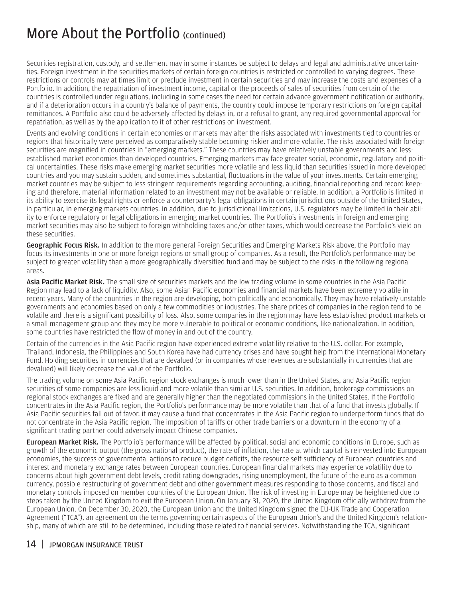Securities registration, custody, and settlement may in some instances be subject to delays and legal and administrative uncertainties. Foreign investment in the securities markets of certain foreign countries is restricted or controlled to varying degrees. These restrictions or controls may at times limit or preclude investment in certain securities and may increase the costs and expenses of a Portfolio. In addition, the repatriation of investment income, capital or the proceeds of sales of securities from certain of the countries is controlled under regulations, including in some cases the need for certain advance government notification or authority, and if a deterioration occurs in a country's balance of payments, the country could impose temporary restrictions on foreign capital remittances. A Portfolio also could be adversely affected by delays in, or a refusal to grant, any required governmental approval for repatriation, as well as by the application to it of other restrictions on investment.

Events and evolving conditions in certain economies or markets may alter the risks associated with investments tied to countries or regions that historically were perceived as comparatively stable becoming riskier and more volatile. The risks associated with foreign securities are magnified in countries in "emerging markets." These countries may have relatively unstable governments and lessestablished market economies than developed countries. Emerging markets may face greater social, economic, regulatory and political uncertainties. These risks make emerging market securities more volatile and less liquid than securities issued in more developed countries and you may sustain sudden, and sometimes substantial, fluctuations in the value of your investments. Certain emerging market countries may be subject to less stringent requirements regarding accounting, auditing, financial reporting and record keeping and therefore, material information related to an investment may not be available or reliable. In addition, a Portfolio is limited in its ability to exercise its legal rights or enforce a counterparty's legal obligations in certain jurisdictions outside of the United States, in particular, in emerging markets countries. In addition, due to jurisdictional limitations, U.S. regulators may be limited in their ability to enforce regulatory or legal obligations in emerging market countries. The Portfolio's investments in foreign and emerging market securities may also be subject to foreign withholding taxes and/or other taxes, which would decrease the Portfolio's yield on these securities.

Geographic Focus Risk. In addition to the more general Foreign Securities and Emerging Markets Risk above, the Portfolio may focus its investments in one or more foreign regions or small group of companies. As a result, the Portfolio's performance may be subject to greater volatility than a more geographically diversified fund and may be subject to the risks in the following regional areas.

Asia Pacific Market Risk. The small size of securities markets and the low trading volume in some countries in the Asia Pacific Region may lead to a lack of liquidity. Also, some Asian Pacific economies and financial markets have been extremely volatile in recent years. Many of the countries in the region are developing, both politically and economically. They may have relatively unstable governments and economies based on only a few commodities or industries. The share prices of companies in the region tend to be volatile and there is a significant possibility of loss. Also, some companies in the region may have less established product markets or a small management group and they may be more vulnerable to political or economic conditions, like nationalization. In addition, some countries have restricted the flow of money in and out of the country.

Certain of the currencies in the Asia Pacific region have experienced extreme volatility relative to the U.S. dollar. For example, Thailand, Indonesia, the Philippines and South Korea have had currency crises and have sought help from the International Monetary Fund. Holding securities in currencies that are devalued (or in companies whose revenues are substantially in currencies that are devalued) will likely decrease the value of the Portfolio.

The trading volume on some Asia Pacific region stock exchanges is much lower than in the United States, and Asia Pacific region securities of some companies are less liquid and more volatile than similar U.S. securities. In addition, brokerage commissions on regional stock exchanges are fixed and are generally higher than the negotiated commissions in the United States. If the Portfolio concentrates in the Asia Pacific region, the Portfolio's performance may be more volatile than that of a fund that invests globally. If Asia Pacific securities fall out of favor, it may cause a fund that concentrates in the Asia Pacific region to underperform funds that do not concentrate in the Asia Pacific region. The imposition of tariffs or other trade barriers or a downturn in the economy of a significant trading partner could adversely impact Chinese companies.

European Market Risk. The Portfolio's performance will be affected by political, social and economic conditions in Europe, such as growth of the economic output (the gross national product), the rate of inflation, the rate at which capital is reinvested into European economies, the success of governmental actions to reduce budget deficits, the resource self-sufficiency of European countries and interest and monetary exchange rates between European countries. European financial markets may experience volatility due to concerns about high government debt levels, credit rating downgrades, rising unemployment, the future of the euro as a common currency, possible restructuring of government debt and other government measures responding to those concerns, and fiscal and monetary controls imposed on member countries of the European Union. The risk of investing in Europe may be heightened due to steps taken by the United Kingdom to exit the European Union. On January 31, 2020, the United Kingdom officially withdrew from the European Union. On December 30, 2020, the European Union and the United Kingdom signed the EU-UK Trade and Cooperation Agreement ("TCA"), an agreement on the terms governing certain aspects of the European Union's and the United Kingdom's relationship, many of which are still to be determined, including those related to financial services. Notwithstanding the TCA, significant

#### 14 | JPMORGAN INSURANCE TRUST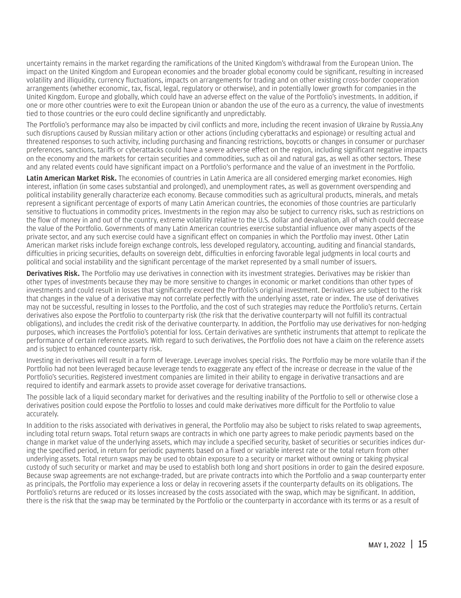uncertainty remains in the market regarding the ramifications of the United Kingdom's withdrawal from the European Union. The impact on the United Kingdom and European economies and the broader global economy could be significant, resulting in increased volatility and illiquidity, currency fluctuations, impacts on arrangements for trading and on other existing cross-border cooperation arrangements (whether economic, tax, fiscal, legal, regulatory or otherwise), and in potentially lower growth for companies in the United Kingdom. Europe and globally, which could have an adverse effect on the value of the Portfolio's investments. In addition, if one or more other countries were to exit the European Union or abandon the use of the euro as a currency, the value of investments tied to those countries or the euro could decline significantly and unpredictably.

The Portfolio's performance may also be impacted by civil conflicts and more, including the recent invasion of Ukraine by Russia.Any such disruptions caused by Russian military action or other actions (including cyberattacks and espionage) or resulting actual and threatened responses to such activity, including purchasing and financing restrictions, boycotts or changes in consumer or purchaser preferences, sanctions, tariffs or cyberattacks could have a severe adverse effect on the region, including significant negative impacts on the economy and the markets for certain securities and commodities, such as oil and natural gas, as well as other sectors. These and any related events could have significant impact on a Portfolio's performance and the value of an investment in the Portfolio.

Latin American Market Risk. The economies of countries in Latin America are all considered emerging market economies. High interest, inflation (in some cases substantial and prolonged), and unemployment rates, as well as government overspending and political instability generally characterize each economy. Because commodities such as agricultural products, minerals, and metals represent a significant percentage of exports of many Latin American countries, the economies of those countries are particularly sensitive to fluctuations in commodity prices. Investments in the region may also be subject to currency risks, such as restrictions on the flow of money in and out of the country, extreme volatility relative to the U.S. dollar and devaluation, all of which could decrease the value of the Portfolio. Governments of many Latin American countries exercise substantial influence over many aspects of the private sector, and any such exercise could have a significant effect on companies in which the Portfolio may invest. Other Latin American market risks include foreign exchange controls, less developed regulatory, accounting, auditing and financial standards, difficulties in pricing securities, defaults on sovereign debt, difficulties in enforcing favorable legal judgments in local courts and political and social instability and the significant percentage of the market represented by a small number of issuers.

Derivatives Risk. The Portfolio may use derivatives in connection with its investment strategies. Derivatives may be riskier than other types of investments because they may be more sensitive to changes in economic or market conditions than other types of investments and could result in losses that significantly exceed the Portfolio's original investment. Derivatives are subject to the risk that changes in the value of a derivative may not correlate perfectly with the underlying asset, rate or index. The use of derivatives may not be successful, resulting in losses to the Portfolio, and the cost of such strategies may reduce the Portfolio's returns. Certain derivatives also expose the Portfolio to counterparty risk (the risk that the derivative counterparty will not fulfill its contractual obligations), and includes the credit risk of the derivative counterparty. In addition, the Portfolio may use derivatives for non-hedging purposes, which increases the Portfolio's potential for loss. Certain derivatives are synthetic instruments that attempt to replicate the performance of certain reference assets. With regard to such derivatives, the Portfolio does not have a claim on the reference assets and is subject to enhanced counterparty risk.

Investing in derivatives will result in a form of leverage. Leverage involves special risks. The Portfolio may be more volatile than if the Portfolio had not been leveraged because leverage tends to exaggerate any effect of the increase or decrease in the value of the Portfolio's securities. Registered investment companies are limited in their ability to engage in derivative transactions and are required to identify and earmark assets to provide asset coverage for derivative transactions.

The possible lack of a liquid secondary market for derivatives and the resulting inability of the Portfolio to sell or otherwise close a derivatives position could expose the Portfolio to losses and could make derivatives more difficult for the Portfolio to value accurately.

In addition to the risks associated with derivatives in general, the Portfolio may also be subject to risks related to swap agreements, including total return swaps. Total return swaps are contracts in which one party agrees to make periodic payments based on the change in market value of the underlying assets, which may include a specified security, basket of securities or securities indices during the specified period, in return for periodic payments based on a fixed or variable interest rate or the total return from other underlying assets. Total return swaps may be used to obtain exposure to a security or market without owning or taking physical custody of such security or market and may be used to establish both long and short positions in order to gain the desired exposure. Because swap agreements are not exchange-traded, but are private contracts into which the Portfolio and a swap counterparty enter as principals, the Portfolio may experience a loss or delay in recovering assets if the counterparty defaults on its obligations. The Portfolio's returns are reduced or its losses increased by the costs associated with the swap, which may be significant. In addition, there is the risk that the swap may be terminated by the Portfolio or the counterparty in accordance with its terms or as a result of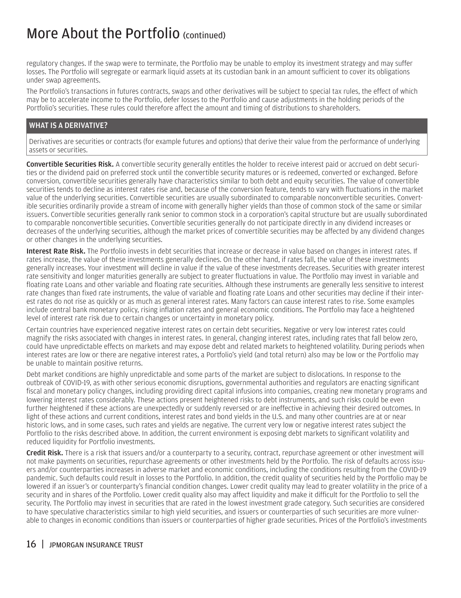regulatory changes. If the swap were to terminate, the Portfolio may be unable to employ its investment strategy and may suffer losses. The Portfolio will segregate or earmark liquid assets at its custodian bank in an amount sufficient to cover its obligations under swap agreements.

The Portfolio's transactions in futures contracts, swaps and other derivatives will be subject to special tax rules, the effect of which may be to accelerate income to the Portfolio, defer losses to the Portfolio and cause adjustments in the holding periods of the Portfolio's securities. These rules could therefore affect the amount and timing of distributions to shareholders.

#### WHAT IS A DERIVATIVE?

Derivatives are securities or contracts (for example futures and options) that derive their value from the performance of underlying assets or securities.

Convertible Securities Risk. A convertible security generally entitles the holder to receive interest paid or accrued on debt securities or the dividend paid on preferred stock until the convertible security matures or is redeemed, converted or exchanged. Before conversion, convertible securities generally have characteristics similar to both debt and equity securities. The value of convertible securities tends to decline as interest rates rise and, because of the conversion feature, tends to vary with fluctuations in the market value of the underlying securities. Convertible securities are usually subordinated to comparable nonconvertible securities. Convertible securities ordinarily provide a stream of income with generally higher yields than those of common stock of the same or similar issuers. Convertible securities generally rank senior to common stock in a corporation's capital structure but are usually subordinated to comparable nonconvertible securities. Convertible securities generally do not participate directly in any dividend increases or decreases of the underlying securities, although the market prices of convertible securities may be affected by any dividend changes or other changes in the underlying securities.

Interest Rate Risk. The Portfolio invests in debt securities that increase or decrease in value based on changes in interest rates. If rates increase, the value of these investments generally declines. On the other hand, if rates fall, the value of these investments generally increases. Your investment will decline in value if the value of these investments decreases. Securities with greater interest rate sensitivity and longer maturities generally are subject to greater fluctuations in value. The Portfolio may invest in variable and floating rate Loans and other variable and floating rate securities. Although these instruments are generally less sensitive to interest rate changes than fixed rate instruments, the value of variable and floating rate Loans and other securities may decline if their interest rates do not rise as quickly or as much as general interest rates. Many factors can cause interest rates to rise. Some examples include central bank monetary policy, rising inflation rates and general economic conditions. The Portfolio may face a heightened level of interest rate risk due to certain changes or uncertainty in monetary policy.

Certain countries have experienced negative interest rates on certain debt securities. Negative or very low interest rates could magnify the risks associated with changes in interest rates. In general, changing interest rates, including rates that fall below zero, could have unpredictable effects on markets and may expose debt and related markets to heightened volatility. During periods when interest rates are low or there are negative interest rates, a Portfolio's yield (and total return) also may be low or the Portfolio may be unable to maintain positive returns.

Debt market conditions are highly unpredictable and some parts of the market are subject to dislocations. In response to the outbreak of COVID-19, as with other serious economic disruptions, governmental authorities and regulators are enacting significant fiscal and monetary policy changes, including providing direct capital infusions into companies, creating new monetary programs and lowering interest rates considerably. These actions present heightened risks to debt instruments, and such risks could be even further heightened if these actions are unexpectedly or suddenly reversed or are ineffective in achieving their desired outcomes. In light of these actions and current conditions, interest rates and bond yields in the U.S. and many other countries are at or near historic lows, and in some cases, such rates and yields are negative. The current very low or negative interest rates subject the Portfolio to the risks described above. In addition, the current environment is exposing debt markets to significant volatility and reduced liquidity for Portfolio investments.

Credit Risk. There is a risk that issuers and/or a counterparty to a security, contract, repurchase agreement or other investment will not make payments on securities, repurchase agreements or other investments held by the Portfolio. The risk of defaults across issuers and/or counterparties increases in adverse market and economic conditions, including the conditions resulting from the COVID-19 pandemic. Such defaults could result in losses to the Portfolio. In addition, the credit quality of securities held by the Portfolio may be lowered if an issuer's or counterparty's financial condition changes. Lower credit quality may lead to greater volatility in the price of a security and in shares of the Portfolio. Lower credit quality also may affect liquidity and make it difficult for the Portfolio to sell the security. The Portfolio may invest in securities that are rated in the lowest investment grade category. Such securities are considered to have speculative characteristics similar to high yield securities, and issuers or counterparties of such securities are more vulnerable to changes in economic conditions than issuers or counterparties of higher grade securities. Prices of the Portfolio's investments

#### 16 | JPMORGAN INSURANCE TRUST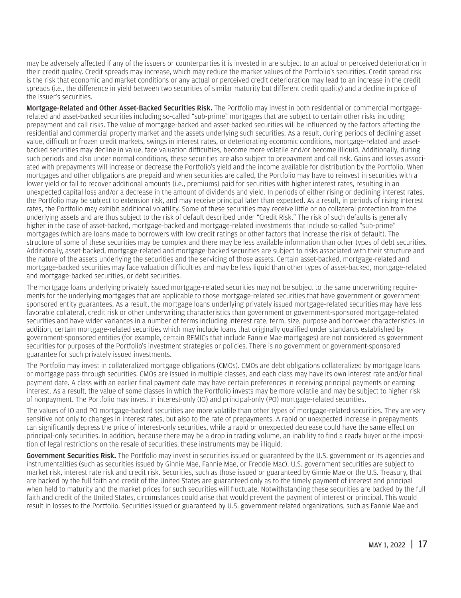may be adversely affected if any of the issuers or counterparties it is invested in are subject to an actual or perceived deterioration in their credit quality. Credit spreads may increase, which may reduce the market values of the Portfolio's securities. Credit spread risk is the risk that economic and market conditions or any actual or perceived credit deterioration may lead to an increase in the credit spreads (i.e., the difference in yield between two securities of similar maturity but different credit quality) and a decline in price of the issuer's securities.

Mortgage-Related and Other Asset-Backed Securities Risk. The Portfolio may invest in both residential or commercial mortgagerelated and asset-backed securities including so-called "sub-prime" mortgages that are subject to certain other risks including prepayment and call risks. The value of mortgage-backed and asset-backed securities will be influenced by the factors affecting the residential and commercial property market and the assets underlying such securities. As a result, during periods of declining asset value, difficult or frozen credit markets, swings in interest rates, or deteriorating economic conditions, mortgage-related and assetbacked securities may decline in value, face valuation difficulties, become more volatile and/or become illiquid. Additionally, during such periods and also under normal conditions, these securities are also subject to prepayment and call risk. Gains and losses associated with prepayments will increase or decrease the Portfolio's yield and the income available for distribution by the Portfolio. When mortgages and other obligations are prepaid and when securities are called, the Portfolio may have to reinvest in securities with a lower yield or fail to recover additional amounts (i.e., premiums) paid for securities with higher interest rates, resulting in an unexpected capital loss and/or a decrease in the amount of dividends and yield. In periods of either rising or declining interest rates, the Portfolio may be subject to extension risk, and may receive principal later than expected. As a result, in periods of rising interest rates, the Portfolio may exhibit additional volatility. Some of these securities may receive little or no collateral protection from the underlying assets and are thus subject to the risk of default described under "Credit Risk." The risk of such defaults is generally higher in the case of asset-backed, mortgage-backed and mortgage-related investments that include so-called "sub-prime" mortgages (which are loans made to borrowers with low credit ratings or other factors that increase the risk of default). The structure of some of these securities may be complex and there may be less available information than other types of debt securities. Additionally, asset-backed, mortgage-related and mortgage-backed securities are subject to risks associated with their structure and the nature of the assets underlying the securities and the servicing of those assets. Certain asset-backed, mortgage-related and mortgage-backed securities may face valuation difficulties and may be less liquid than other types of asset-backed, mortgage-related and mortgage-backed securities, or debt securities.

The mortgage loans underlying privately issued mortgage-related securities may not be subject to the same underwriting requirements for the underlying mortgages that are applicable to those mortgage-related securities that have government or governmentsponsored entity guarantees. As a result, the mortgage loans underlying privately issued mortgage-related securities may have less favorable collateral, credit risk or other underwriting characteristics than government or government-sponsored mortgage-related securities and have wider variances in a number of terms including interest rate, term, size, purpose and borrower characteristics. In addition, certain mortgage-related securities which may include loans that originally qualified under standards established by government-sponsored entities (for example, certain REMICs that include Fannie Mae mortgages) are not considered as government securities for purposes of the Portfolio's investment strategies or policies. There is no government or government-sponsored guarantee for such privately issued investments.

The Portfolio may invest in collateralized mortgage obligations (CMOs). CMOs are debt obligations collateralized by mortgage loans or mortgage pass-through securities. CMOs are issued in multiple classes, and each class may have its own interest rate and/or final payment date. A class with an earlier final payment date may have certain preferences in receiving principal payments or earning interest. As a result, the value of some classes in which the Portfolio invests may be more volatile and may be subject to higher risk of nonpayment. The Portfolio may invest in interest-only (IO) and principal-only (PO) mortgage-related securities.

The values of IO and PO mortgage-backed securities are more volatile than other types of mortgage-related securities. They are very sensitive not only to changes in interest rates, but also to the rate of prepayments. A rapid or unexpected increase in prepayments can significantly depress the price of interest-only securities, while a rapid or unexpected decrease could have the same effect on principal-only securities. In addition, because there may be a drop in trading volume, an inability to find a ready buyer or the imposition of legal restrictions on the resale of securities, these instruments may be illiquid.

Government Securities Risk. The Portfolio may invest in securities issued or guaranteed by the U.S. government or its agencies and instrumentalities (such as securities issued by Ginnie Mae, Fannie Mae, or Freddie Mac). U.S. government securities are subject to market risk, interest rate risk and credit risk. Securities, such as those issued or guaranteed by Ginnie Mae or the U.S. Treasury, that are backed by the full faith and credit of the United States are guaranteed only as to the timely payment of interest and principal when held to maturity and the market prices for such securities will fluctuate. Notwithstanding these securities are backed by the full faith and credit of the United States, circumstances could arise that would prevent the payment of interest or principal. This would result in losses to the Portfolio. Securities issued or guaranteed by U.S. government-related organizations, such as Fannie Mae and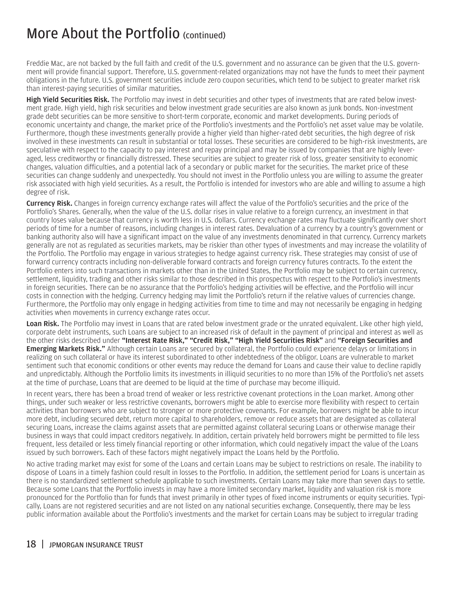Freddie Mac, are not backed by the full faith and credit of the U.S. government and no assurance can be given that the U.S. government will provide financial support. Therefore, U.S. government-related organizations may not have the funds to meet their payment obligations in the future. U.S. government securities include zero coupon securities, which tend to be subject to greater market risk than interest-paying securities of similar maturities.

High Yield Securities Risk. The Portfolio may invest in debt securities and other types of investments that are rated below investment grade. High yield, high risk securities and below investment grade securities are also known as junk bonds. Non-investment grade debt securities can be more sensitive to short-term corporate, economic and market developments. During periods of economic uncertainty and change, the market price of the Portfolio's investments and the Portfolio's net asset value may be volatile. Furthermore, though these investments generally provide a higher yield than higher-rated debt securities, the high degree of risk involved in these investments can result in substantial or total losses. These securities are considered to be high-risk investments, are speculative with respect to the capacity to pay interest and repay principal and may be issued by companies that are highly leveraged, less creditworthy or financially distressed. These securities are subject to greater risk of loss, greater sensitivity to economic changes, valuation difficulties, and a potential lack of a secondary or public market for the securities. The market price of these securities can change suddenly and unexpectedly. You should not invest in the Portfolio unless you are willing to assume the greater risk associated with high yield securities. As a result, the Portfolio is intended for investors who are able and willing to assume a high degree of risk.

**Currency Risk.** Changes in foreign currency exchange rates will affect the value of the Portfolio's securities and the price of the Portfolio's Shares. Generally, when the value of the U.S. dollar rises in value relative to a foreign currency, an investment in that country loses value because that currency is worth less in U.S. dollars. Currency exchange rates may fluctuate significantly over short periods of time for a number of reasons, including changes in interest rates. Devaluation of a currency by a country's government or banking authority also will have a significant impact on the value of any investments denominated in that currency. Currency markets generally are not as regulated as securities markets, may be riskier than other types of investments and may increase the volatility of the Portfolio. The Portfolio may engage in various strategies to hedge against currency risk. These strategies may consist of use of forward currency contracts including non-deliverable forward contracts and foreign currency futures contracts. To the extent the Portfolio enters into such transactions in markets other than in the United States, the Portfolio may be subject to certain currency, settlement, liquidity, trading and other risks similar to those described in this prospectus with respect to the Portfolio's investments in foreign securities. There can be no assurance that the Portfolio's hedging activities will be effective, and the Portfolio will incur costs in connection with the hedging. Currency hedging may limit the Portfolio's return if the relative values of currencies change. Furthermore, the Portfolio may only engage in hedging activities from time to time and may not necessarily be engaging in hedging activities when movements in currency exchange rates occur.

Loan Risk. The Portfolio may invest in Loans that are rated below investment grade or the unrated equivalent. Like other high yield, corporate debt instruments, such Loans are subject to an increased risk of default in the payment of principal and interest as well as the other risks described under "Interest Rate Risk," "Credit Risk," "High Yield Securities Risk" and "Foreign Securities and **Emerging Markets Risk."** Although certain Loans are secured by collateral, the Portfolio could experience delays or limitations in realizing on such collateral or have its interest subordinated to other indebtedness of the obligor. Loans are vulnerable to market sentiment such that economic conditions or other events may reduce the demand for Loans and cause their value to decline rapidly and unpredictably. Although the Portfolio limits its investments in illiquid securities to no more than 15% of the Portfolio's net assets at the time of purchase, Loans that are deemed to be liquid at the time of purchase may become illiquid.

In recent years, there has been a broad trend of weaker or less restrictive covenant protections in the Loan market. Among other things, under such weaker or less restrictive covenants, borrowers might be able to exercise more flexibility with respect to certain activities than borrowers who are subject to stronger or more protective covenants. For example, borrowers might be able to incur more debt, including secured debt, return more capital to shareholders, remove or reduce assets that are designated as collateral securing Loans, increase the claims against assets that are permitted against collateral securing Loans or otherwise manage their business in ways that could impact creditors negatively. In addition, certain privately held borrowers might be permitted to file less frequent, less detailed or less timely financial reporting or other information, which could negatively impact the value of the Loans issued by such borrowers. Each of these factors might negatively impact the Loans held by the Portfolio.

No active trading market may exist for some of the Loans and certain Loans may be subject to restrictions on resale. The inability to dispose of Loans in a timely fashion could result in losses to the Portfolio. In addition, the settlement period for Loans is uncertain as there is no standardized settlement schedule applicable to such investments. Certain Loans may take more than seven days to settle. Because some Loans that the Portfolio invests in may have a more limited secondary market, liquidity and valuation risk is more pronounced for the Portfolio than for funds that invest primarily in other types of fixed income instruments or equity securities. Typically, Loans are not registered securities and are not listed on any national securities exchange. Consequently, there may be less public information available about the Portfolio's investments and the market for certain Loans may be subject to irregular trading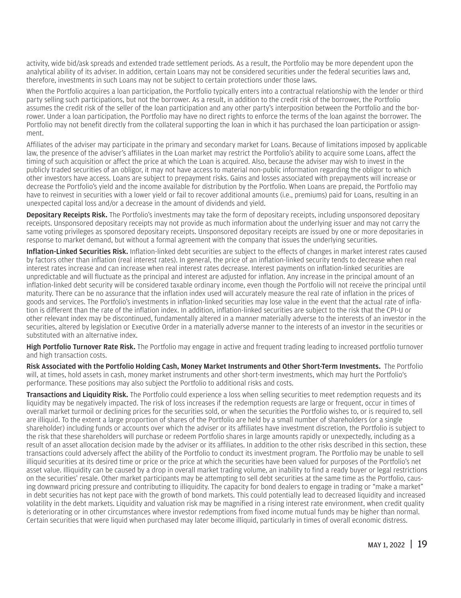activity, wide bid/ask spreads and extended trade settlement periods. As a result, the Portfolio may be more dependent upon the analytical ability of its adviser. In addition, certain Loans may not be considered securities under the federal securities laws and, therefore, investments in such Loans may not be subject to certain protections under those laws.

When the Portfolio acquires a loan participation, the Portfolio typically enters into a contractual relationship with the lender or third party selling such participations, but not the borrower. As a result, in addition to the credit risk of the borrower, the Portfolio assumes the credit risk of the seller of the loan participation and any other party's interposition between the Portfolio and the borrower. Under a loan participation, the Portfolio may have no direct rights to enforce the terms of the loan against the borrower. The Portfolio may not benefit directly from the collateral supporting the loan in which it has purchased the loan participation or assignment.

Affiliates of the adviser may participate in the primary and secondary market for Loans. Because of limitations imposed by applicable law, the presence of the adviser's affiliates in the Loan market may restrict the Portfolio's ability to acquire some Loans, affect the timing of such acquisition or affect the price at which the Loan is acquired. Also, because the adviser may wish to invest in the publicly traded securities of an obligor, it may not have access to material non-public information regarding the obligor to which other investors have access. Loans are subject to prepayment risks. Gains and losses associated with prepayments will increase or decrease the Portfolio's yield and the income available for distribution by the Portfolio. When Loans are prepaid, the Portfolio may have to reinvest in securities with a lower yield or fail to recover additional amounts (i.e., premiums) paid for Loans, resulting in an unexpected capital loss and/or a decrease in the amount of dividends and yield.

Depositary Receipts Risk. The Portfolio's investments may take the form of depositary receipts, including unsponsored depositary receipts. Unsponsored depositary receipts may not provide as much information about the underlying issuer and may not carry the same voting privileges as sponsored depositary receipts. Unsponsored depositary receipts are issued by one or more depositaries in response to market demand, but without a formal agreement with the company that issues the underlying securities.

Inflation-Linked Securities Risk. Inflation-linked debt securities are subject to the effects of changes in market interest rates caused by factors other than inflation (real interest rates). In general, the price of an inflation-linked security tends to decrease when real interest rates increase and can increase when real interest rates decrease. Interest payments on inflation-linked securities are unpredictable and will fluctuate as the principal and interest are adjusted for inflation. Any increase in the principal amount of an inflation-linked debt security will be considered taxable ordinary income, even though the Portfolio will not receive the principal until maturity. There can be no assurance that the inflation index used will accurately measure the real rate of inflation in the prices of goods and services. The Portfolio's investments in inflation-linked securities may lose value in the event that the actual rate of inflation is different than the rate of the inflation index. In addition, inflation-linked securities are subject to the risk that the CPI-U or other relevant index may be discontinued, fundamentally altered in a manner materially adverse to the interests of an investor in the securities, altered by legislation or Executive Order in a materially adverse manner to the interests of an investor in the securities or substituted with an alternative index.

High Portfolio Turnover Rate Risk. The Portfolio may engage in active and frequent trading leading to increased portfolio turnover and high transaction costs.

Risk Associated with the Portfolio Holding Cash, Money Market Instruments and Other Short-Term Investments. The Portfolio will, at times, hold assets in cash, money market instruments and other short-term investments, which may hurt the Portfolio's performance. These positions may also subject the Portfolio to additional risks and costs.

Transactions and Liquidity Risk. The Portfolio could experience a loss when selling securities to meet redemption requests and its liquidity may be negatively impacted. The risk of loss increases if the redemption requests are large or frequent, occur in times of overall market turmoil or declining prices for the securities sold, or when the securities the Portfolio wishes to, or is required to, sell are illiquid. To the extent a large proportion of shares of the Portfolio are held by a small number of shareholders (or a single shareholder) including funds or accounts over which the adviser or its affiliates have investment discretion, the Portfolio is subject to the risk that these shareholders will purchase or redeem Portfolio shares in large amounts rapidly or unexpectedly, including as a result of an asset allocation decision made by the adviser or its affiliates. In addition to the other risks described in this section, these transactions could adversely affect the ability of the Portfolio to conduct its investment program. The Portfolio may be unable to sell illiquid securities at its desired time or price or the price at which the securities have been valued for purposes of the Portfolio's net asset value. Illiquidity can be caused by a drop in overall market trading volume, an inability to find a ready buyer or legal restrictions on the securities' resale. Other market participants may be attempting to sell debt securities at the same time as the Portfolio, causing downward pricing pressure and contributing to illiquidity. The capacity for bond dealers to engage in trading or "make a market" in debt securities has not kept pace with the growth of bond markets. This could potentially lead to decreased liquidity and increased volatility in the debt markets. Liquidity and valuation risk may be magnified in a rising interest rate environment, when credit quality is deteriorating or in other circumstances where investor redemptions from fixed income mutual funds may be higher than normal. Certain securities that were liquid when purchased may later become illiquid, particularly in times of overall economic distress.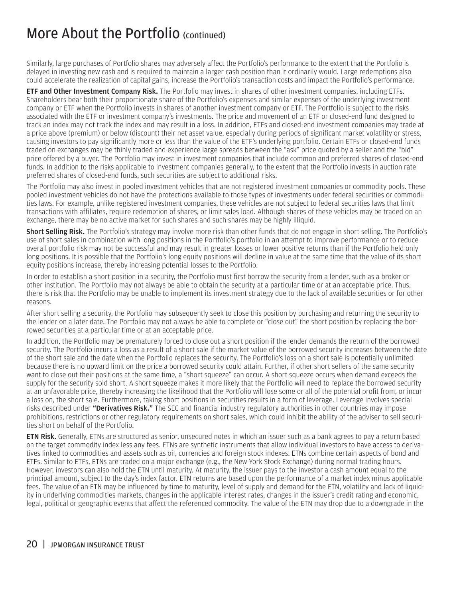Similarly, large purchases of Portfolio shares may adversely affect the Portfolio's performance to the extent that the Portfolio is delayed in investing new cash and is required to maintain a larger cash position than it ordinarily would. Large redemptions also could accelerate the realization of capital gains, increase the Portfolio's transaction costs and impact the Portfolio's performance.

**ETF and Other Investment Company Risk.** The Portfolio may invest in shares of other investment companies, including ETFs. Shareholders bear both their proportionate share of the Portfolio's expenses and similar expenses of the underlying investment company or ETF when the Portfolio invests in shares of another investment company or ETF. The Portfolio is subject to the risks associated with the ETF or investment company's investments. The price and movement of an ETF or closed-end fund designed to track an index may not track the index and may result in a loss. In addition, ETFs and closed-end investment companies may trade at a price above (premium) or below (discount) their net asset value, especially during periods of significant market volatility or stress, causing investors to pay significantly more or less than the value of the ETF's underlying portfolio. Certain ETFs or closed-end funds traded on exchanges may be thinly traded and experience large spreads between the "ask" price quoted by a seller and the "bid" price offered by a buyer. The Portfolio may invest in investment companies that include common and preferred shares of closed-end funds. In addition to the risks applicable to investment companies generally, to the extent that the Portfolio invests in auction rate preferred shares of closed-end funds, such securities are subject to additional risks.

The Portfolio may also invest in pooled investment vehicles that are not registered investment companies or commodity pools. These pooled investment vehicles do not have the protections available to those types of investments under federal securities or commodities laws. For example, unlike registered investment companies, these vehicles are not subject to federal securities laws that limit transactions with affiliates, require redemption of shares, or limit sales load. Although shares of these vehicles may be traded on an exchange, there may be no active market for such shares and such shares may be highly illiquid.

Short Selling Risk. The Portfolio's strategy may involve more risk than other funds that do not engage in short selling. The Portfolio's use of short sales in combination with long positions in the Portfolio's portfolio in an attempt to improve performance or to reduce overall portfolio risk may not be successful and may result in greater losses or lower positive returns than if the Portfolio held only long positions. It is possible that the Portfolio's long equity positions will decline in value at the same time that the value of its short equity positions increase, thereby increasing potential losses to the Portfolio.

In order to establish a short position in a security, the Portfolio must first borrow the security from a lender, such as a broker or other institution. The Portfolio may not always be able to obtain the security at a particular time or at an acceptable price. Thus, there is risk that the Portfolio may be unable to implement its investment strategy due to the lack of available securities or for other reasons.

After short selling a security, the Portfolio may subsequently seek to close this position by purchasing and returning the security to the lender on a later date. The Portfolio may not always be able to complete or "close out" the short position by replacing the borrowed securities at a particular time or at an acceptable price.

In addition, the Portfolio may be prematurely forced to close out a short position if the lender demands the return of the borrowed security. The Portfolio incurs a loss as a result of a short sale if the market value of the borrowed security increases between the date of the short sale and the date when the Portfolio replaces the security. The Portfolio's loss on a short sale is potentially unlimited because there is no upward limit on the price a borrowed security could attain. Further, if other short sellers of the same security want to close out their positions at the same time, a "short squeeze" can occur. A short squeeze occurs when demand exceeds the supply for the security sold short. A short squeeze makes it more likely that the Portfolio will need to replace the borrowed security at an unfavorable price, thereby increasing the likelihood that the Portfolio will lose some or all of the potential profit from, or incur a loss on, the short sale. Furthermore, taking short positions in securities results in a form of leverage. Leverage involves special risks described under **"Derivatives Risk."** The SEC and financial industry regulatory authorities in other countries may impose prohibitions, restrictions or other regulatory requirements on short sales, which could inhibit the ability of the adviser to sell securities short on behalf of the Portfolio.

**ETN Risk.** Generally, ETNs are structured as senior, unsecured notes in which an issuer such as a bank agrees to pay a return based on the target commodity index less any fees. ETNs are synthetic instruments that allow individual investors to have access to derivatives linked to commodities and assets such as oil, currencies and foreign stock indexes. ETNs combine certain aspects of bond and ETFs. Similar to ETFs, ETNs are traded on a major exchange (e.g., the New York Stock Exchange) during normal trading hours. However, investors can also hold the ETN until maturity. At maturity, the issuer pays to the investor a cash amount equal to the principal amount, subject to the day's index factor. ETN returns are based upon the performance of a market index minus applicable fees. The value of an ETN may be influenced by time to maturity, level of supply and demand for the ETN, volatility and lack of liquidity in underlying commodities markets, changes in the applicable interest rates, changes in the issuer's credit rating and economic, legal, political or geographic events that affect the referenced commodity. The value of the ETN may drop due to a downgrade in the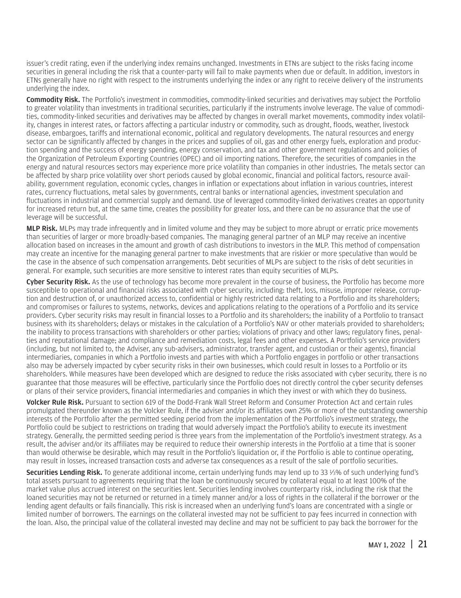issuer's credit rating, even if the underlying index remains unchanged. Investments in ETNs are subject to the risks facing income securities in general including the risk that a counter-party will fail to make payments when due or default. In addition, investors in ETNs generally have no right with respect to the instruments underlying the index or any right to receive delivery of the instruments underlying the index.

Commodity Risk. The Portfolio's investment in commodities, commodity-linked securities and derivatives may subject the Portfolio to greater volatility than investments in traditional securities, particularly if the instruments involve leverage. The value of commodities, commodity-linked securities and derivatives may be affected by changes in overall market movements, commodity index volatility, changes in interest rates, or factors affecting a particular industry or commodity, such as drought, floods, weather, livestock disease, embargoes, tariffs and international economic, political and regulatory developments. The natural resources and energy sector can be significantly affected by changes in the prices and supplies of oil, gas and other energy fuels, exploration and production spending and the success of energy spending, energy conservation, and tax and other government regulations and policies of the Organization of Petroleum Exporting Countries (OPEC) and oil importing nations. Therefore, the securities of companies in the energy and natural resources sectors may experience more price volatility than companies in other industries. The metals sector can be affected by sharp price volatility over short periods caused by global economic, financial and political factors, resource availability, government regulation, economic cycles, changes in inflation or expectations about inflation in various countries, interest rates, currency fluctuations, metal sales by governments, central banks or international agencies, investment speculation and fluctuations in industrial and commercial supply and demand. Use of leveraged commodity-linked derivatives creates an opportunity for increased return but, at the same time, creates the possibility for greater loss, and there can be no assurance that the use of leverage will be successful.

MLP Risk. MLPs may trade infrequently and in limited volume and they may be subject to more abrupt or erratic price movements than securities of larger or more broadly-based companies. The managing general partner of an MLP may receive an incentive allocation based on increases in the amount and growth of cash distributions to investors in the MLP. This method of compensation may create an incentive for the managing general partner to make investments that are riskier or more speculative than would be the case in the absence of such compensation arrangements. Debt securities of MLPs are subject to the risks of debt securities in general. For example, such securities are more sensitive to interest rates than equity securities of MLPs.

Cyber Security Risk. As the use of technology has become more prevalent in the course of business, the Portfolio has become more susceptible to operational and financial risks associated with cyber security, including: theft, loss, misuse, improper release, corruption and destruction of, or unauthorized access to, confidential or highly restricted data relating to a Portfolio and its shareholders; and compromises or failures to systems, networks, devices and applications relating to the operations of a Portfolio and its service providers. Cyber security risks may result in financial losses to a Portfolio and its shareholders; the inability of a Portfolio to transact business with its shareholders; delays or mistakes in the calculation of a Portfolio's NAV or other materials provided to shareholders; the inability to process transactions with shareholders or other parties; violations of privacy and other laws; regulatory fines, penalties and reputational damage; and compliance and remediation costs, legal fees and other expenses. A Portfolio's service providers (including, but not limited to, the Adviser, any sub-advisers, administrator, transfer agent, and custodian or their agents), financial intermediaries, companies in which a Portfolio invests and parties with which a Portfolio engages in portfolio or other transactions also may be adversely impacted by cyber security risks in their own businesses, which could result in losses to a Portfolio or its shareholders. While measures have been developed which are designed to reduce the risks associated with cyber security, there is no guarantee that those measures will be effective, particularly since the Portfolio does not directly control the cyber security defenses or plans of their service providers, financial intermediaries and companies in which they invest or with which they do business.

Volcker Rule Risk. Pursuant to section 619 of the Dodd-Frank Wall Street Reform and Consumer Protection Act and certain rules promulgated thereunder known as the Volcker Rule, if the adviser and/or its affiliates own 25% or more of the outstanding ownership interests of the Portfolio after the permitted seeding period from the implementation of the Portfolio's investment strategy, the Portfolio could be subject to restrictions on trading that would adversely impact the Portfolio's ability to execute its investment strategy. Generally, the permitted seeding period is three years from the implementation of the Portfolio's investment strategy. As a result, the adviser and/or its affiliates may be required to reduce their ownership interests in the Portfolio at a time that is sooner than would otherwise be desirable, which may result in the Portfolio's liquidation or, if the Portfolio is able to continue operating, may result in losses, increased transaction costs and adverse tax consequences as a result of the sale of portfolio securities.

Securities Lending Risk. To generate additional income, certain underlying funds may lend up to 33 1⁄3% of such underlying fund's total assets pursuant to agreements requiring that the loan be continuously secured by collateral equal to at least 100% of the market value plus accrued interest on the securities lent. Securities lending involves counterparty risk, including the risk that the loaned securities may not be returned or returned in a timely manner and/or a loss of rights in the collateral if the borrower or the lending agent defaults or fails financially. This risk is increased when an underlying fund's loans are concentrated with a single or limited number of borrowers. The earnings on the collateral invested may not be sufficient to pay fees incurred in connection with the loan. Also, the principal value of the collateral invested may decline and may not be sufficient to pay back the borrower for the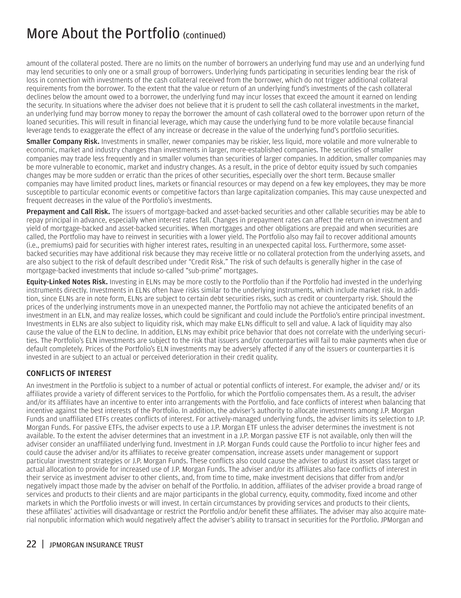<span id="page-23-0"></span>amount of the collateral posted. There are no limits on the number of borrowers an underlying fund may use and an underlying fund may lend securities to only one or a small group of borrowers. Underlying funds participating in securities lending bear the risk of loss in connection with investments of the cash collateral received from the borrower, which do not trigger additional collateral requirements from the borrower. To the extent that the value or return of an underlying fund's investments of the cash collateral declines below the amount owed to a borrower, the underlying fund may incur losses that exceed the amount it earned on lending the security. In situations where the adviser does not believe that it is prudent to sell the cash collateral investments in the market, an underlying fund may borrow money to repay the borrower the amount of cash collateral owed to the borrower upon return of the loaned securities. This will result in financial leverage, which may cause the underlying fund to be more volatile because financial leverage tends to exaggerate the effect of any increase or decrease in the value of the underlying fund's portfolio securities.

**Smaller Company Risk.** Investments in smaller, newer companies may be riskier, less liquid, more volatile and more vulnerable to economic, market and industry changes than investments in larger, more-established companies. The securities of smaller companies may trade less frequently and in smaller volumes than securities of larger companies. In addition, smaller companies may be more vulnerable to economic, market and industry changes. As a result, in the price of debtor equity issued by such companies changes may be more sudden or erratic than the prices of other securities, especially over the short term. Because smaller companies may have limited product lines, markets or financial resources or may depend on a few key employees, they may be more susceptible to particular economic events or competitive factors than large capitalization companies. This may cause unexpected and frequent decreases in the value of the Portfolio's investments.

Prepayment and Call Risk. The issuers of mortgage-backed and asset-backed securities and other callable securities may be able to repay principal in advance, especially when interest rates fall. Changes in prepayment rates can affect the return on investment and yield of mortgage-backed and asset-backed securities. When mortgages and other obligations are prepaid and when securities are called, the Portfolio may have to reinvest in securities with a lower yield. The Portfolio also may fail to recover additional amounts (i.e., premiums) paid for securities with higher interest rates, resulting in an unexpected capital loss. Furthermore, some assetbacked securities may have additional risk because they may receive little or no collateral protection from the underlying assets, and are also subject to the risk of default described under "Credit Risk." The risk of such defaults is generally higher in the case of mortgage-backed investments that include so-called "sub-prime" mortgages.

Equity-Linked Notes Risk. Investing in ELNs may be more costly to the Portfolio than if the Portfolio had invested in the underlying instruments directly. Investments in ELNs often have risks similar to the underlying instruments, which include market risk. In addition, since ELNs are in note form, ELNs are subject to certain debt securities risks, such as credit or counterparty risk. Should the prices of the underlying instruments move in an unexpected manner, the Portfolio may not achieve the anticipated benefits of an investment in an ELN, and may realize losses, which could be significant and could include the Portfolio's entire principal investment. Investments in ELNs are also subject to liquidity risk, which may make ELNs difficult to sell and value. A lack of liquidity may also cause the value of the ELN to decline. In addition, ELNs may exhibit price behavior that does not correlate with the underlying securities. The Portfolio's ELN investments are subject to the risk that issuers and/or counterparties will fail to make payments when due or default completely. Prices of the Portfolio's ELN investments may be adversely affected if any of the issuers or counterparties it is invested in are subject to an actual or perceived deterioration in their credit quality.

#### CONFLICTS OF INTEREST

An investment in the Portfolio is subject to a number of actual or potential conflicts of interest. For example, the adviser and/ or its affiliates provide a variety of different services to the Portfolio, for which the Portfolio compensates them. As a result, the adviser and/or its affiliates have an incentive to enter into arrangements with the Portfolio, and face conflicts of interest when balancing that incentive against the best interests of the Portfolio. In addition, the adviser's authority to allocate investments among J.P. Morgan Funds and unaffiliated ETFs creates conflicts of interest. For actively-managed underlying funds, the adviser limits its selection to J.P. Morgan Funds. For passive ETFs, the adviser expects to use a J.P. Morgan ETF unless the adviser determines the investment is not available. To the extent the adviser determines that an investment in a J.P. Morgan passive ETF is not available, only then will the adviser consider an unaffiliated underlying fund. Investment in J.P. Morgan Funds could cause the Portfolio to incur higher fees and could cause the adviser and/or its affiliates to receive greater compensation, increase assets under management or support particular investment strategies or J.P. Morgan Funds. These conflicts also could cause the adviser to adjust its asset class target or actual allocation to provide for increased use of J.P. Morgan Funds. The adviser and/or its affiliates also face conflicts of interest in their service as investment adviser to other clients, and, from time to time, make investment decisions that differ from and/or negatively impact those made by the adviser on behalf of the Portfolio. In addition, affiliates of the adviser provide a broad range of services and products to their clients and are major participants in the global currency, equity, commodity, fixed income and other markets in which the Portfolio invests or will invest. In certain circumstances by providing services and products to their clients, these affiliates' activities will disadvantage or restrict the Portfolio and/or benefit these affiliates. The adviser may also acquire material nonpublic information which would negatively affect the adviser's ability to transact in securities for the Portfolio. JPMorgan and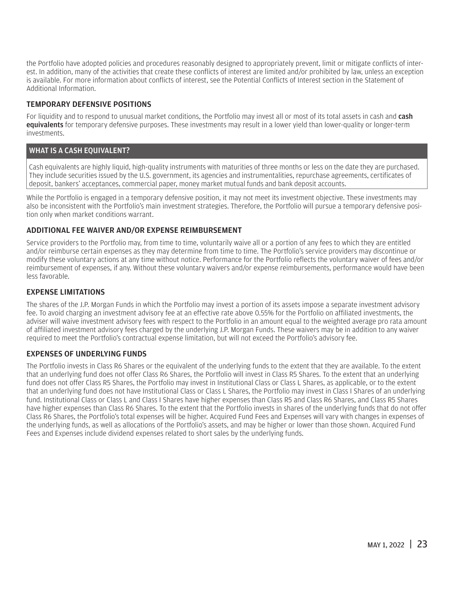<span id="page-24-0"></span>the Portfolio have adopted policies and procedures reasonably designed to appropriately prevent, limit or mitigate conflicts of interest. In addition, many of the activities that create these conflicts of interest are limited and/or prohibited by law, unless an exception is available. For more information about conflicts of interest, see the Potential Conflicts of Interest section in the Statement of Additional Information.

#### TEMPORARY DEFENSIVE POSITIONS

For liquidity and to respond to unusual market conditions, the Portfolio may invest all or most of its total assets in cash and cash equivalents for temporary defensive purposes. These investments may result in a lower yield than lower-quality or longer-term investments.

#### WHAT IS A CASH EQUIVALENT?

Cash equivalents are highly liquid, high-quality instruments with maturities of three months or less on the date they are purchased. They include securities issued by the U.S. government, its agencies and instrumentalities, repurchase agreements, certificates of deposit, bankers' acceptances, commercial paper, money market mutual funds and bank deposit accounts.

While the Portfolio is engaged in a temporary defensive position, it may not meet its investment objective. These investments may also be inconsistent with the Portfolio's main investment strategies. Therefore, the Portfolio will pursue a temporary defensive position only when market conditions warrant.

#### ADDITIONAL FEE WAIVER AND/OR EXPENSE REIMBURSEMENT

Service providers to the Portfolio may, from time to time, voluntarily waive all or a portion of any fees to which they are entitled and/or reimburse certain expenses as they may determine from time to time. The Portfolio's service providers may discontinue or modify these voluntary actions at any time without notice. Performance for the Portfolio reflects the voluntary waiver of fees and/or reimbursement of expenses, if any. Without these voluntary waivers and/or expense reimbursements, performance would have been less favorable.

#### EXPENSE LIMITATIONS

The shares of the J.P. Morgan Funds in which the Portfolio may invest a portion of its assets impose a separate investment advisory fee. To avoid charging an investment advisory fee at an effective rate above 0.55% for the Portfolio on affiliated investments, the adviser will waive investment advisory fees with respect to the Portfolio in an amount equal to the weighted average pro rata amount of affiliated investment advisory fees charged by the underlying J.P. Morgan Funds. These waivers may be in addition to any waiver required to meet the Portfolio's contractual expense limitation, but will not exceed the Portfolio's advisory fee.

#### EXPENSES OF UNDERLYING FUNDS

The Portfolio invests in Class R6 Shares or the equivalent of the underlying funds to the extent that they are available. To the extent that an underlying fund does not offer Class R6 Shares, the Portfolio will invest in Class R5 Shares. To the extent that an underlying fund does not offer Class R5 Shares, the Portfolio may invest in Institutional Class or Class L Shares, as applicable, or to the extent that an underlying fund does not have Institutional Class or Class L Shares, the Portfolio may invest in Class I Shares of an underlying fund. Institutional Class or Class L and Class I Shares have higher expenses than Class R5 and Class R6 Shares, and Class R5 Shares have higher expenses than Class R6 Shares. To the extent that the Portfolio invests in shares of the underlying funds that do not offer Class R6 Shares, the Portfolio's total expenses will be higher. Acquired Fund Fees and Expenses will vary with changes in expenses of the underlying funds, as well as allocations of the Portfolio's assets, and may be higher or lower than those shown. Acquired Fund Fees and Expenses include dividend expenses related to short sales by the underlying funds.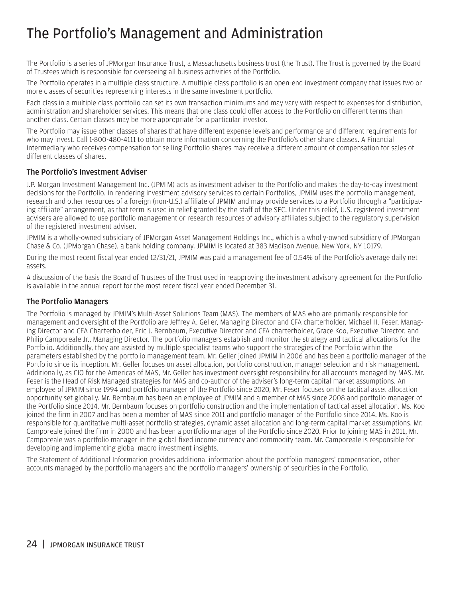# <span id="page-25-0"></span>The Portfolio's Management and Administration

The Portfolio is a series of JPMorgan Insurance Trust, a Massachusetts business trust (the Trust). The Trust is governed by the Board of Trustees which is responsible for overseeing all business activities of the Portfolio.

The Portfolio operates in a multiple class structure. A multiple class portfolio is an open-end investment company that issues two or more classes of securities representing interests in the same investment portfolio.

Each class in a multiple class portfolio can set its own transaction minimums and may vary with respect to expenses for distribution, administration and shareholder services. This means that one class could offer access to the Portfolio on different terms than another class. Certain classes may be more appropriate for a particular investor.

The Portfolio may issue other classes of shares that have different expense levels and performance and different requirements for who may invest. Call 1-800-480-4111 to obtain more information concerning the Portfolio's other share classes. A Financial Intermediary who receives compensation for selling Portfolio shares may receive a different amount of compensation for sales of different classes of shares.

#### The Portfolio's Investment Adviser

J.P. Morgan Investment Management Inc. (JPMIM) acts as investment adviser to the Portfolio and makes the day-to-day investment decisions for the Portfolio. In rendering investment advisory services to certain Portfolios, JPMIM uses the portfolio management, research and other resources of a foreign (non-U.S.) affiliate of JPMIM and may provide services to a Portfolio through a "participating affiliate" arrangement, as that term is used in relief granted by the staff of the SEC. Under this relief, U.S. registered investment advisers are allowed to use portfolio management or research resources of advisory affiliates subject to the regulatory supervision of the registered investment adviser.

JPMIM is a wholly-owned subsidiary of JPMorgan Asset Management Holdings Inc., which is a wholly-owned subsidiary of JPMorgan Chase & Co. (JPMorgan Chase), a bank holding company. JPMIM is located at 383 Madison Avenue, New York, NY 10179.

During the most recent fiscal year ended 12/31/21, JPMIM was paid a management fee of 0.54% of the Portfolio's average daily net assets.

A discussion of the basis the Board of Trustees of the Trust used in reapproving the investment advisory agreement for the Portfolio is available in the annual report for the most recent fiscal year ended December 31.

#### The Portfolio Managers

The Portfolio is managed by JPMIM's Multi-Asset Solutions Team (MAS). The members of MAS who are primarily responsible for management and oversight of the Portfolio are Jeffrey A. Geller, Managing Director and CFA charterholder, Michael H. Feser, Managing Director and CFA Charterholder, Eric J. Bernbaum, Executive Director and CFA charterholder, Grace Koo, Executive Director, and Philip Camporeale Jr., Managing Director. The portfolio managers establish and monitor the strategy and tactical allocations for the Portfolio. Additionally, they are assisted by multiple specialist teams who support the strategies of the Portfolio within the parameters established by the portfolio management team. Mr. Geller joined JPMIM in 2006 and has been a portfolio manager of the Portfolio since its inception. Mr. Geller focuses on asset allocation, portfolio construction, manager selection and risk management. Additionally, as CIO for the Americas of MAS, Mr. Geller has investment oversight responsibility for all accounts managed by MAS. Mr. Feser is the Head of Risk Managed strategies for MAS and co-author of the adviser's long-term capital market assumptions. An employee of JPMIM since 1994 and portfolio manager of the Portfolio since 2020, Mr. Feser focuses on the tactical asset allocation opportunity set globally. Mr. Bernbaum has been an employee of JPMIM and a member of MAS since 2008 and portfolio manager of the Portfolio since 2014. Mr. Bernbaum focuses on portfolio construction and the implementation of tactical asset allocation. Ms. Koo joined the firm in 2007 and has been a member of MAS since 2011 and portfolio manager of the Portfolio since 2014. Ms. Koo is responsible for quantitative multi-asset portfolio strategies, dynamic asset allocation and long-term capital market assumptions. Mr. Camporeale joined the firm in 2000 and has been a portfolio manager of the Portfolio since 2020. Prior to joining MAS in 2011, Mr. Camporeale was a portfolio manager in the global fixed income currency and commodity team. Mr. Camporeale is responsible for developing and implementing global macro investment insights.

The Statement of Additional Information provides additional information about the portfolio managers' compensation, other accounts managed by the portfolio managers and the portfolio managers' ownership of securities in the Portfolio.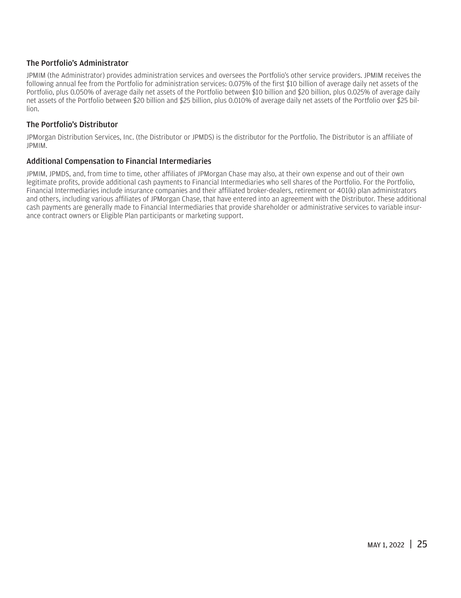#### The Portfolio's Administrator

JPMIM (the Administrator) provides administration services and oversees the Portfolio's other service providers. JPMIM receives the following annual fee from the Portfolio for administration services: 0.075% of the first \$10 billion of average daily net assets of the Portfolio, plus 0.050% of average daily net assets of the Portfolio between \$10 billion and \$20 billion, plus 0.025% of average daily net assets of the Portfolio between \$20 billion and \$25 billion, plus 0.010% of average daily net assets of the Portfolio over \$25 billion.

#### The Portfolio's Distributor

JPMorgan Distribution Services, Inc. (the Distributor or JPMDS) is the distributor for the Portfolio. The Distributor is an affiliate of JPMIM.

#### Additional Compensation to Financial Intermediaries

JPMIM, JPMDS, and, from time to time, other affiliates of JPMorgan Chase may also, at their own expense and out of their own legitimate profits, provide additional cash payments to Financial Intermediaries who sell shares of the Portfolio. For the Portfolio, Financial Intermediaries include insurance companies and their affiliated broker-dealers, retirement or 401(k) plan administrators and others, including various affiliates of JPMorgan Chase, that have entered into an agreement with the Distributor. These additional cash payments are generally made to Financial Intermediaries that provide shareholder or administrative services to variable insurance contract owners or Eligible Plan participants or marketing support.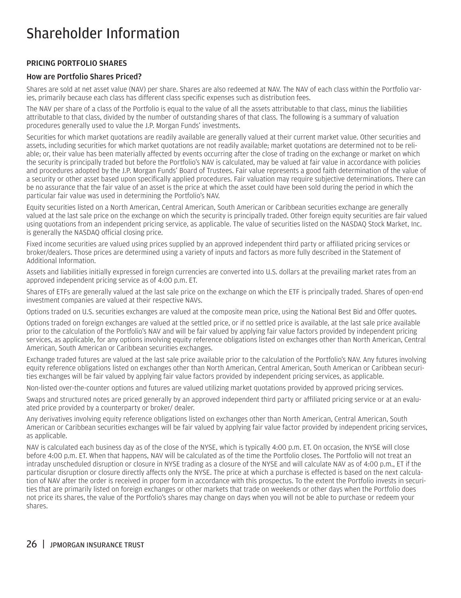# <span id="page-27-0"></span>Shareholder Information

#### PRICING PORTFOLIO SHARES

#### How are Portfolio Shares Priced?

Shares are sold at net asset value (NAV) per share. Shares are also redeemed at NAV. The NAV of each class within the Portfolio varies, primarily because each class has different class specific expenses such as distribution fees.

The NAV per share of a class of the Portfolio is equal to the value of all the assets attributable to that class, minus the liabilities attributable to that class, divided by the number of outstanding shares of that class. The following is a summary of valuation procedures generally used to value the J.P. Morgan Funds' investments.

Securities for which market quotations are readily available are generally valued at their current market value. Other securities and assets, including securities for which market quotations are not readily available; market quotations are determined not to be reliable; or, their value has been materially affected by events occurring after the close of trading on the exchange or market on which the security is principally traded but before the Portfolio's NAV is calculated, may be valued at fair value in accordance with policies and procedures adopted by the J.P. Morgan Funds' Board of Trustees. Fair value represents a good faith determination of the value of a security or other asset based upon specifically applied procedures. Fair valuation may require subjective determinations. There can be no assurance that the fair value of an asset is the price at which the asset could have been sold during the period in which the particular fair value was used in determining the Portfolio's NAV.

Equity securities listed on a North American, Central American, South American or Caribbean securities exchange are generally valued at the last sale price on the exchange on which the security is principally traded. Other foreign equity securities are fair valued using quotations from an independent pricing service, as applicable. The value of securities listed on the NASDAQ Stock Market, Inc. is generally the NASDAQ official closing price.

Fixed income securities are valued using prices supplied by an approved independent third party or affiliated pricing services or broker/dealers. Those prices are determined using a variety of inputs and factors as more fully described in the Statement of Additional Information.

Assets and liabilities initially expressed in foreign currencies are converted into U.S. dollars at the prevailing market rates from an approved independent pricing service as of 4:00 p.m. ET.

Shares of ETFs are generally valued at the last sale price on the exchange on which the ETF is principally traded. Shares of open-end investment companies are valued at their respective NAVs.

Options traded on U.S. securities exchanges are valued at the composite mean price, using the National Best Bid and Offer quotes.

Options traded on foreign exchanges are valued at the settled price, or if no settled price is available, at the last sale price available prior to the calculation of the Portfolio's NAV and will be fair valued by applying fair value factors provided by independent pricing services, as applicable, for any options involving equity reference obligations listed on exchanges other than North American, Central American, South American or Caribbean securities exchanges.

Exchange traded futures are valued at the last sale price available prior to the calculation of the Portfolio's NAV. Any futures involving equity reference obligations listed on exchanges other than North American, Central American, South American or Caribbean securities exchanges will be fair valued by applying fair value factors provided by independent pricing services, as applicable.

Non-listed over-the-counter options and futures are valued utilizing market quotations provided by approved pricing services.

Swaps and structured notes are priced generally by an approved independent third party or affiliated pricing service or at an evaluated price provided by a counterparty or broker/ dealer.

Any derivatives involving equity reference obligations listed on exchanges other than North American, Central American, South American or Caribbean securities exchanges will be fair valued by applying fair value factor provided by independent pricing services, as applicable.

NAV is calculated each business day as of the close of the NYSE, which is typically 4:00 p.m. ET. On occasion, the NYSE will close before 4:00 p.m. ET. When that happens, NAV will be calculated as of the time the Portfolio closes. The Portfolio will not treat an intraday unscheduled disruption or closure in NYSE trading as a closure of the NYSE and will calculate NAV as of 4:00 p.m., ET if the particular disruption or closure directly affects only the NYSE. The price at which a purchase is effected is based on the next calculation of NAV after the order is received in proper form in accordance with this prospectus. To the extent the Portfolio invests in securities that are primarily listed on foreign exchanges or other markets that trade on weekends or other days when the Portfolio does not price its shares, the value of the Portfolio's shares may change on days when you will not be able to purchase or redeem your shares.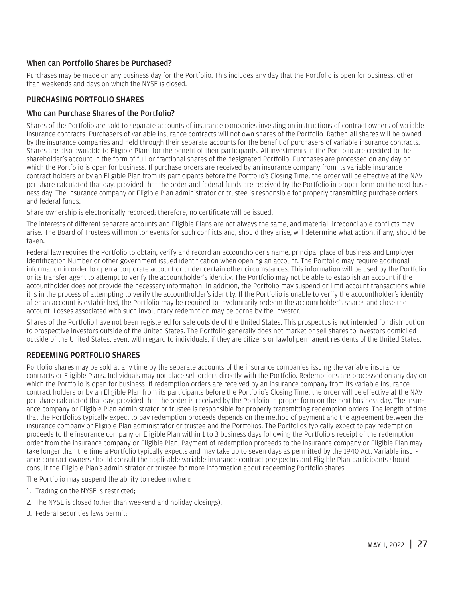#### <span id="page-28-0"></span>When can Portfolio Shares be Purchased?

Purchases may be made on any business day for the Portfolio. This includes any day that the Portfolio is open for business, other than weekends and days on which the NYSE is closed.

#### PURCHASING PORTFOLIO SHARES

#### Who can Purchase Shares of the Portfolio?

Shares of the Portfolio are sold to separate accounts of insurance companies investing on instructions of contract owners of variable insurance contracts. Purchasers of variable insurance contracts will not own shares of the Portfolio. Rather, all shares will be owned by the insurance companies and held through their separate accounts for the benefit of purchasers of variable insurance contracts. Shares are also available to Eligible Plans for the benefit of their participants. All investments in the Portfolio are credited to the shareholder's account in the form of full or fractional shares of the designated Portfolio. Purchases are processed on any day on which the Portfolio is open for business. If purchase orders are received by an insurance company from its variable insurance contract holders or by an Eligible Plan from its participants before the Portfolio's Closing Time, the order will be effective at the NAV per share calculated that day, provided that the order and federal funds are received by the Portfolio in proper form on the next business day. The insurance company or Eligible Plan administrator or trustee is responsible for properly transmitting purchase orders and federal funds.

Share ownership is electronically recorded; therefore, no certificate will be issued.

The interests of different separate accounts and Eligible Plans are not always the same, and material, irreconcilable conflicts may arise. The Board of Trustees will monitor events for such conflicts and, should they arise, will determine what action, if any, should be taken.

Federal law requires the Portfolio to obtain, verify and record an accountholder's name, principal place of business and Employer Identification Number or other government issued identification when opening an account. The Portfolio may require additional information in order to open a corporate account or under certain other circumstances. This information will be used by the Portfolio or its transfer agent to attempt to verify the accountholder's identity. The Portfolio may not be able to establish an account if the accountholder does not provide the necessary information. In addition, the Portfolio may suspend or limit account transactions while it is in the process of attempting to verify the accountholder's identity. If the Portfolio is unable to verify the accountholder's identity after an account is established, the Portfolio may be required to involuntarily redeem the accountholder's shares and close the account. Losses associated with such involuntary redemption may be borne by the investor.

Shares of the Portfolio have not been registered for sale outside of the United States. This prospectus is not intended for distribution to prospective investors outside of the United States. The Portfolio generally does not market or sell shares to investors domiciled outside of the United States, even, with regard to individuals, if they are citizens or lawful permanent residents of the United States.

#### REDEEMING PORTFOLIO SHARES

Portfolio shares may be sold at any time by the separate accounts of the insurance companies issuing the variable insurance contracts or Eligible Plans. Individuals may not place sell orders directly with the Portfolio. Redemptions are processed on any day on which the Portfolio is open for business. If redemption orders are received by an insurance company from its variable insurance contract holders or by an Eligible Plan from its participants before the Portfolio's Closing Time, the order will be effective at the NAV per share calculated that day, provided that the order is received by the Portfolio in proper form on the next business day. The insurance company or Eligible Plan administrator or trustee is responsible for properly transmitting redemption orders. The length of time that the Portfolios typically expect to pay redemption proceeds depends on the method of payment and the agreement between the insurance company or Eligible Plan administrator or trustee and the Portfolios. The Portfolios typically expect to pay redemption proceeds to the insurance company or Eligible Plan within 1 to 3 business days following the Portfolio's receipt of the redemption order from the insurance company or Eligible Plan. Payment of redemption proceeds to the insurance company or Eligible Plan may take longer than the time a Portfolio typically expects and may take up to seven days as permitted by the 1940 Act. Variable insurance contract owners should consult the applicable variable insurance contract prospectus and Eligible Plan participants should consult the Eligible Plan's administrator or trustee for more information about redeeming Portfolio shares.

The Portfolio may suspend the ability to redeem when:

- 1. Trading on the NYSE is restricted;
- 2. The NYSE is closed (other than weekend and holiday closings);
- 3. Federal securities laws permit;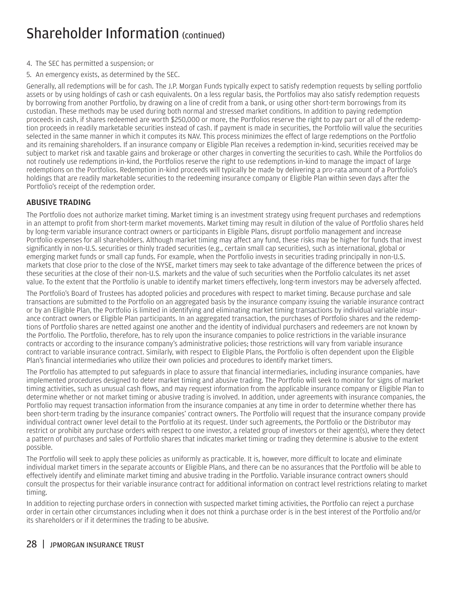## <span id="page-29-0"></span>Shareholder Information (continued)

- 4. The SEC has permitted a suspension; or
- 5. An emergency exists, as determined by the SEC.

Generally, all redemptions will be for cash. The J.P. Morgan Funds typically expect to satisfy redemption requests by selling portfolio assets or by using holdings of cash or cash equivalents. On a less regular basis, the Portfolios may also satisfy redemption requests by borrowing from another Portfolio, by drawing on a line of credit from a bank, or using other short-term borrowings from its custodian. These methods may be used during both normal and stressed market conditions. In addition to paying redemption proceeds in cash, if shares redeemed are worth \$250,000 or more, the Portfolios reserve the right to pay part or all of the redemption proceeds in readily marketable securities instead of cash. If payment is made in securities, the Portfolio will value the securities selected in the same manner in which it computes its NAV. This process minimizes the effect of large redemptions on the Portfolio and its remaining shareholders. If an insurance company or Eligible Plan receives a redemption in-kind, securities received may be subject to market risk and taxable gains and brokerage or other charges in converting the securities to cash. While the Portfolios do not routinely use redemptions in-kind, the Portfolios reserve the right to use redemptions in-kind to manage the impact of large redemptions on the Portfolios. Redemption in-kind proceeds will typically be made by delivering a pro-rata amount of a Portfolio's holdings that are readily marketable securities to the redeeming insurance company or Eligible Plan within seven days after the Portfolio's receipt of the redemption order.

#### ABUSIVE TRADING

The Portfolio does not authorize market timing. Market timing is an investment strategy using frequent purchases and redemptions in an attempt to profit from short-term market movements. Market timing may result in dilution of the value of Portfolio shares held by long-term variable insurance contract owners or participants in Eligible Plans, disrupt portfolio management and increase Portfolio expenses for all shareholders. Although market timing may affect any fund, these risks may be higher for funds that invest significantly in non-U.S. securities or thinly traded securities (e.g., certain small cap securities), such as international, global or emerging market funds or small cap funds. For example, when the Portfolio invests in securities trading principally in non-U.S. markets that close prior to the close of the NYSE, market timers may seek to take advantage of the difference between the prices of these securities at the close of their non-U.S. markets and the value of such securities when the Portfolio calculates its net asset value. To the extent that the Portfolio is unable to identify market timers effectively, long-term investors may be adversely affected.

The Portfolio's Board of Trustees has adopted policies and procedures with respect to market timing. Because purchase and sale transactions are submitted to the Portfolio on an aggregated basis by the insurance company issuing the variable insurance contract or by an Eligible Plan, the Portfolio is limited in identifying and eliminating market timing transactions by individual variable insurance contract owners or Eligible Plan participants. In an aggregated transaction, the purchases of Portfolio shares and the redemptions of Portfolio shares are netted against one another and the identity of individual purchasers and redeemers are not known by the Portfolio. The Portfolio, therefore, has to rely upon the insurance companies to police restrictions in the variable insurance contracts or according to the insurance company's administrative policies; those restrictions will vary from variable insurance contract to variable insurance contract. Similarly, with respect to Eligible Plans, the Portfolio is often dependent upon the Eligible Plan's financial intermediaries who utilize their own policies and procedures to identify market timers.

The Portfolio has attempted to put safeguards in place to assure that financial intermediaries, including insurance companies, have implemented procedures designed to deter market timing and abusive trading. The Portfolio will seek to monitor for signs of market timing activities, such as unusual cash flows, and may request information from the applicable insurance company or Eligible Plan to determine whether or not market timing or abusive trading is involved. In addition, under agreements with insurance companies, the Portfolio may request transaction information from the insurance companies at any time in order to determine whether there has been short-term trading by the insurance companies' contract owners. The Portfolio will request that the insurance company provide individual contract owner level detail to the Portfolio at its request. Under such agreements, the Portfolio or the Distributor may restrict or prohibit any purchase orders with respect to one investor, a related group of investors or their agent(s), where they detect a pattern of purchases and sales of Portfolio shares that indicates market timing or trading they determine is abusive to the extent possible.

The Portfolio will seek to apply these policies as uniformly as practicable. It is, however, more difficult to locate and eliminate individual market timers in the separate accounts or Eligible Plans, and there can be no assurances that the Portfolio will be able to effectively identify and eliminate market timing and abusive trading in the Portfolio. Variable insurance contract owners should consult the prospectus for their variable insurance contract for additional information on contract level restrictions relating to market timing.

In addition to rejecting purchase orders in connection with suspected market timing activities, the Portfolio can reject a purchase order in certain other circumstances including when it does not think a purchase order is in the best interest of the Portfolio and/or its shareholders or if it determines the trading to be abusive.

#### 28 | JPMORGAN INSURANCE TRUST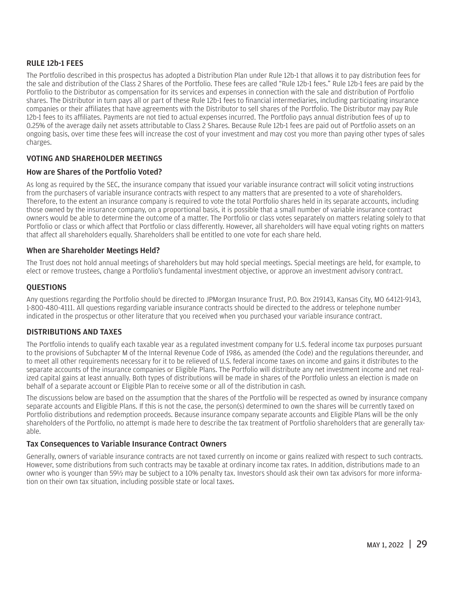#### <span id="page-30-0"></span>RULE 12b-1 FEES

The Portfolio described in this prospectus has adopted a Distribution Plan under Rule 12b-1 that allows it to pay distribution fees for the sale and distribution of the Class 2 Shares of the Portfolio. These fees are called "Rule 12b-1 fees." Rule 12b-1 fees are paid by the Portfolio to the Distributor as compensation for its services and expenses in connection with the sale and distribution of Portfolio shares. The Distributor in turn pays all or part of these Rule 12b-1 fees to financial intermediaries, including participating insurance companies or their affiliates that have agreements with the Distributor to sell shares of the Portfolio. The Distributor may pay Rule 12b-1 fees to its affiliates. Payments are not tied to actual expenses incurred. The Portfolio pays annual distribution fees of up to 0.25% of the average daily net assets attributable to Class 2 Shares. Because Rule 12b-1 fees are paid out of Portfolio assets on an ongoing basis, over time these fees will increase the cost of your investment and may cost you more than paying other types of sales charges.

#### VOTING AND SHAREHOLDER MEETINGS

#### How are Shares of the Portfolio Voted?

As long as required by the SEC, the insurance company that issued your variable insurance contract will solicit voting instructions from the purchasers of variable insurance contracts with respect to any matters that are presented to a vote of shareholders. Therefore, to the extent an insurance company is required to vote the total Portfolio shares held in its separate accounts, including those owned by the insurance company, on a proportional basis, it is possible that a small number of variable insurance contract owners would be able to determine the outcome of a matter. The Portfolio or class votes separately on matters relating solely to that Portfolio or class or which affect that Portfolio or class differently. However, all shareholders will have equal voting rights on matters that affect all shareholders equally. Shareholders shall be entitled to one vote for each share held.

#### When are Shareholder Meetings Held?

The Trust does not hold annual meetings of shareholders but may hold special meetings. Special meetings are held, for example, to elect or remove trustees, change a Portfolio's fundamental investment objective, or approve an investment advisory contract.

#### **OUESTIONS**

Any questions regarding the Portfolio should be directed to JPMorgan Insurance Trust, P.O. Box 219143, Kansas City, MO 64121-9143, 1-800-480-4111. All questions regarding variable insurance contracts should be directed to the address or telephone number indicated in the prospectus or other literature that you received when you purchased your variable insurance contract.

#### DISTRIBUTIONS AND TAXES

The Portfolio intends to qualify each taxable year as a regulated investment company for U.S. federal income tax purposes pursuant to the provisions of Subchapter M of the Internal Revenue Code of 1986, as amended (the Code) and the regulations thereunder, and to meet all other requirements necessary for it to be relieved of U.S. federal income taxes on income and gains it distributes to the separate accounts of the insurance companies or Eligible Plans. The Portfolio will distribute any net investment income and net realized capital gains at least annually. Both types of distributions will be made in shares of the Portfolio unless an election is made on behalf of a separate account or Eligible Plan to receive some or all of the distribution in cash.

The discussions below are based on the assumption that the shares of the Portfolio will be respected as owned by insurance company separate accounts and Eligible Plans. If this is not the case, the person(s) determined to own the shares will be currently taxed on Portfolio distributions and redemption proceeds. Because insurance company separate accounts and Eligible Plans will be the only shareholders of the Portfolio, no attempt is made here to describe the tax treatment of Portfolio shareholders that are generally taxable.

#### Tax Consequences to Variable Insurance Contract Owners

Generally, owners of variable insurance contracts are not taxed currently on income or gains realized with respect to such contracts. However, some distributions from such contracts may be taxable at ordinary income tax rates. In addition, distributions made to an owner who is younger than 59½ may be subject to a 10% penalty tax. Investors should ask their own tax advisors for more information on their own tax situation, including possible state or local taxes.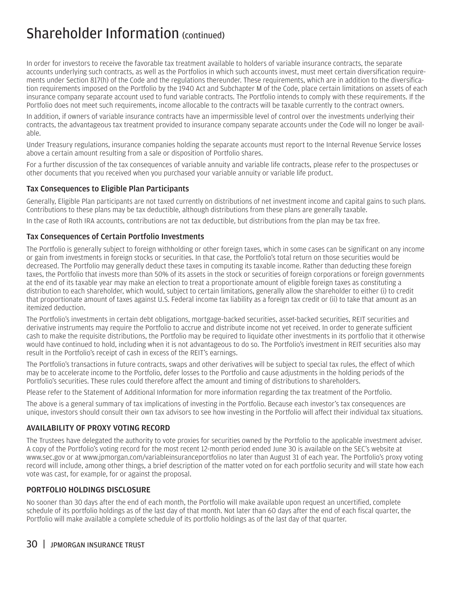## <span id="page-31-0"></span>Shareholder Information (continued)

In order for investors to receive the favorable tax treatment available to holders of variable insurance contracts, the separate accounts underlying such contracts, as well as the Portfolios in which such accounts invest, must meet certain diversification requirements under Section 817(h) of the Code and the regulations thereunder. These requirements, which are in addition to the diversification requirements imposed on the Portfolio by the 1940 Act and Subchapter M of the Code, place certain limitations on assets of each insurance company separate account used to fund variable contracts. The Portfolio intends to comply with these requirements. If the Portfolio does not meet such requirements, income allocable to the contracts will be taxable currently to the contract owners.

In addition, if owners of variable insurance contracts have an impermissible level of control over the investments underlying their contracts, the advantageous tax treatment provided to insurance company separate accounts under the Code will no longer be available.

Under Treasury regulations, insurance companies holding the separate accounts must report to the Internal Revenue Service losses above a certain amount resulting from a sale or disposition of Portfolio shares.

For a further discussion of the tax consequences of variable annuity and variable life contracts, please refer to the prospectuses or other documents that you received when you purchased your variable annuity or variable life product.

#### Tax Consequences to Eligible Plan Participants

Generally, Eligible Plan participants are not taxed currently on distributions of net investment income and capital gains to such plans. Contributions to these plans may be tax deductible, although distributions from these plans are generally taxable.

In the case of Roth IRA accounts, contributions are not tax deductible, but distributions from the plan may be tax free.

#### Tax Consequences of Certain Portfolio Investments

The Portfolio is generally subject to foreign withholding or other foreign taxes, which in some cases can be significant on any income or gain from investments in foreign stocks or securities. In that case, the Portfolio's total return on those securities would be decreased. The Portfolio may generally deduct these taxes in computing its taxable income. Rather than deducting these foreign taxes, the Portfolio that invests more than 50% of its assets in the stock or securities of foreign corporations or foreign governments at the end of its taxable year may make an election to treat a proportionate amount of eligible foreign taxes as constituting a distribution to each shareholder, which would, subject to certain limitations, generally allow the shareholder to either (i) to credit that proportionate amount of taxes against U.S. Federal income tax liability as a foreign tax credit or (ii) to take that amount as an itemized deduction.

The Portfolio's investments in certain debt obligations, mortgage-backed securities, asset-backed securities, REIT securities and derivative instruments may require the Portfolio to accrue and distribute income not yet received. In order to generate sufficient cash to make the requisite distributions, the Portfolio may be required to liquidate other investments in its portfolio that it otherwise would have continued to hold, including when it is not advantageous to do so. The Portfolio's investment in REIT securities also may result in the Portfolio's receipt of cash in excess of the REIT's earnings.

The Portfolio's transactions in future contracts, swaps and other derivatives will be subject to special tax rules, the effect of which may be to accelerate income to the Portfolio, defer losses to the Portfolio and cause adjustments in the holding periods of the Portfolio's securities. These rules could therefore affect the amount and timing of distributions to shareholders.

Please refer to the Statement of Additional Information for more information regarding the tax treatment of the Portfolio.

The above is a general summary of tax implications of investing in the Portfolio. Because each investor's tax consequences are unique, investors should consult their own tax advisors to see how investing in the Portfolio will affect their individual tax situations.

#### AVAILABILITY OF PROXY VOTING RECORD

The Trustees have delegated the authority to vote proxies for securities owned by the Portfolio to the applicable investment adviser. A copy of the Portfolio's voting record for the most recent 12-month period ended June 30 is available on the SEC's website at www.sec.gov or at www.jpmorgan.com/variableinsuranceportfolios no later than August 31 of each year. The Portfolio's proxy voting record will include, among other things, a brief description of the matter voted on for each portfolio security and will state how each vote was cast, for example, for or against the proposal.

#### PORTFOLIO HOLDINGS DISCLOSURE

No sooner than 30 days after the end of each month, the Portfolio will make available upon request an uncertified, complete schedule of its portfolio holdings as of the last day of that month. Not later than 60 days after the end of each fiscal quarter, the Portfolio will make available a complete schedule of its portfolio holdings as of the last day of that quarter.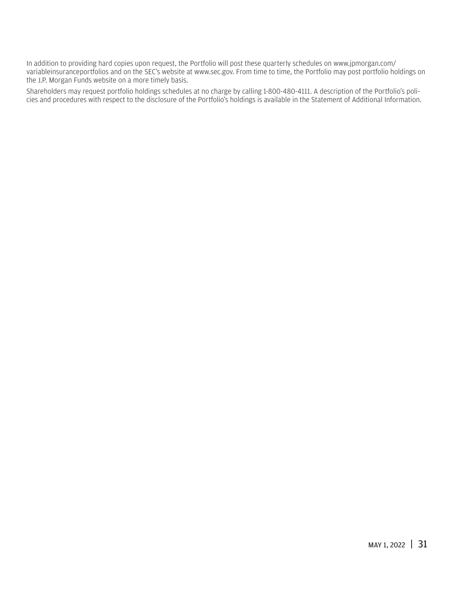In addition to providing hard copies upon request, the Portfolio will post these quarterly schedules on www.jpmorgan.com/ variableinsuranceportfolios and on the SEC's website at www.sec.gov. From time to time, the Portfolio may post portfolio holdings on the J.P. Morgan Funds website on a more timely basis.

Shareholders may request portfolio holdings schedules at no charge by calling 1-800-480-4111. A description of the Portfolio's policies and procedures with respect to the disclosure of the Portfolio's holdings is available in the Statement of Additional Information.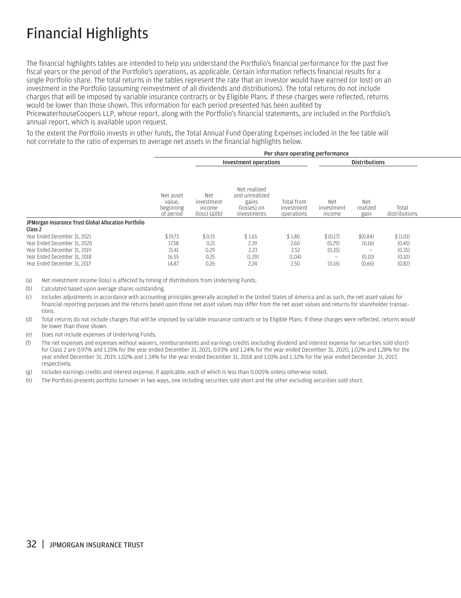# <span id="page-33-0"></span>Financial Highlights

The financial highlights tables are intended to help you understand the Portfolio's financial performance for the past five fiscal years or the period of the Portfolio's operations, as applicable. Certain information reflects financial results for a single Portfolio share. The total returns in the tables represent the rate that an investor would have earned (or lost) on an investment in the Portfolio (assuming reinvestment of all dividends and distributions). The total returns do not include charges that will be imposed by variable insurance contracts or by Eligible Plans. If these charges were reflected, returns would be lower than those shown. This information for each period presented has been audited by

PricewaterhouseCoopers LLP, whose report, along with the Portfolio's financial statements, are included in the Portfolio's annual report, which is available upon request.

To the extent the Portfolio invests in other funds, the Total Annual Fund Operating Expenses included in the fee table will not correlate to the ratio of expenses to average net assets in the financial highlights below.

|                                                                 |                                               |                                                                |                                                                       | Per share operating performance        |                                    |                          |                        |  |
|-----------------------------------------------------------------|-----------------------------------------------|----------------------------------------------------------------|-----------------------------------------------------------------------|----------------------------------------|------------------------------------|--------------------------|------------------------|--|
|                                                                 |                                               |                                                                | <b>Investment operations</b>                                          |                                        |                                    | <b>Distributions</b>     |                        |  |
|                                                                 | Net asset<br>value.<br>beginning<br>of period | <b>Net</b><br>investment<br>income<br>$(\text{loss})$ $(a)(b)$ | Net realized<br>and unrealized<br>gains<br>(losses) on<br>investments | Total from<br>investment<br>operations | <b>Net</b><br>investment<br>income | Net<br>realized<br>gain  | Total<br>distributions |  |
| JPMorgan Insurance Trust Global Allocation Portfolio<br>Class 2 |                                               |                                                                |                                                                       |                                        |                                    |                          |                        |  |
| Year Ended December 31, 2021                                    | \$19.73                                       | \$0.15                                                         | \$1.65                                                                | \$1.80                                 | \$(0.17)                           | \$(0.84)                 | \$(1.01)               |  |
| Year Ended December 31, 2020                                    | 17.58                                         | 0.21                                                           | 2.39                                                                  | 2.60                                   | (0.29)                             | (0.16)                   | (0.45)                 |  |
| Year Ended December 31, 2019                                    | 15.41                                         | 0.29                                                           | 2.23                                                                  | 2.52                                   | (0.35)                             | $\overline{\phantom{m}}$ | (0.35)                 |  |
| Year Ended December 31, 2018                                    | 16.55                                         | 0.25                                                           | (1.29)                                                                | (1.04)                                 | $\qquad \qquad -$                  | (0.10)                   | (0.10)                 |  |
| Year Ended December 31, 2017                                    | 14.87                                         | 0.26                                                           | 2.24                                                                  | 2.50                                   | (0.16)                             | (0.66)                   | (0.82)                 |  |

(a) Net investment income (loss) is affected by timing of distributions from Underlying Funds.

(b) Calculated based upon average shares outstanding.

(c) Includes adjustments in accordance with accounting principles generally accepted in the United States of America and as such, the net asset values for financial reporting purposes and the returns based upon those net asset values may differ from the net asset values and returns for shareholder transactions.

(d) Total returns do not include charges that will be imposed by variable insurance contracts or by Eligible Plans. If these charges were reflected, returns would be lower than those shown.

(e) Does not include expenses of Underlying Funds.

(f) The net expenses and expenses without waivers, reimbursements and earnings credits (excluding dividend and interest expense for securities sold short) for Class 2 are 0.97% and 1.15% for the year ended December 31, 2021, 0.93% and 1.24% for the year ended December 31, 2020, 1.02% and 1.28% for the year ended December 31, 2019, 1.02% and 1.34% for the year ended December 31, 2018 and 1.01% and 1.32% for the year ended December 31, 2017, respectively.

(g) Includes earnings credits and interest expense, if applicable, each of which is less than 0.005% unless otherwise noted.

(h) The Portfolio presents portfolio turnover in two ways, one including securities sold short and the other excluding securities sold short.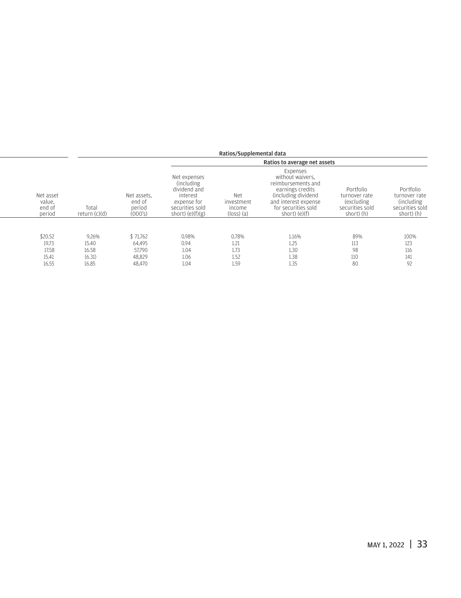|                                         |                          |                                            |                                                                                                                 | Ratios/Supplemental data                             |                                                                                                                                                                  |                                                                            |                                                                            |
|-----------------------------------------|--------------------------|--------------------------------------------|-----------------------------------------------------------------------------------------------------------------|------------------------------------------------------|------------------------------------------------------------------------------------------------------------------------------------------------------------------|----------------------------------------------------------------------------|----------------------------------------------------------------------------|
|                                         |                          |                                            |                                                                                                                 |                                                      | Ratios to average net assets                                                                                                                                     |                                                                            |                                                                            |
| Net asset<br>value.<br>end of<br>period | Total<br>return $(c)(d)$ | Net assets.<br>end of<br>period<br>(000's) | Net expenses<br>(including)<br>dividend and<br>interest<br>expense for<br>securities sold<br>short) $(e)(f)(g)$ | Net<br>investment<br>income<br>$(\text{loss})$ $(a)$ | Expenses<br>without waivers,<br>reimbursements and<br>earnings credits<br>(including dividend)<br>and interest expense<br>for securities sold<br>short) $(e)(f)$ | Portfolio<br>turnover rate<br>(excluding)<br>securities sold<br>short) (h) | Portfolio<br>turnover rate<br>(including)<br>securities sold<br>short) (h) |
|                                         |                          |                                            |                                                                                                                 |                                                      |                                                                                                                                                                  |                                                                            |                                                                            |
| \$20.52                                 | 9.26%                    | \$71,762                                   | 0.98%                                                                                                           | 0.78%                                                | 1.16%                                                                                                                                                            | 89%                                                                        | 100%                                                                       |
| 19.73                                   | 15.40                    | 64,495                                     | 0.94                                                                                                            | 1.21                                                 | 1.25                                                                                                                                                             | 113                                                                        | 123                                                                        |
| 17.58                                   | 16.58                    | 57,790                                     | 1.04                                                                                                            | 1.73                                                 | 1.30                                                                                                                                                             | 98                                                                         | 116                                                                        |
| 15.41                                   | (6.31)                   | 48,829                                     | 1.06                                                                                                            | 1.52                                                 | 1.38                                                                                                                                                             | 110                                                                        | 141                                                                        |
| 16.55                                   | 16.85                    | 48.470                                     | 1.04                                                                                                            | 1.59                                                 | 1.35                                                                                                                                                             | 80                                                                         | 92                                                                         |